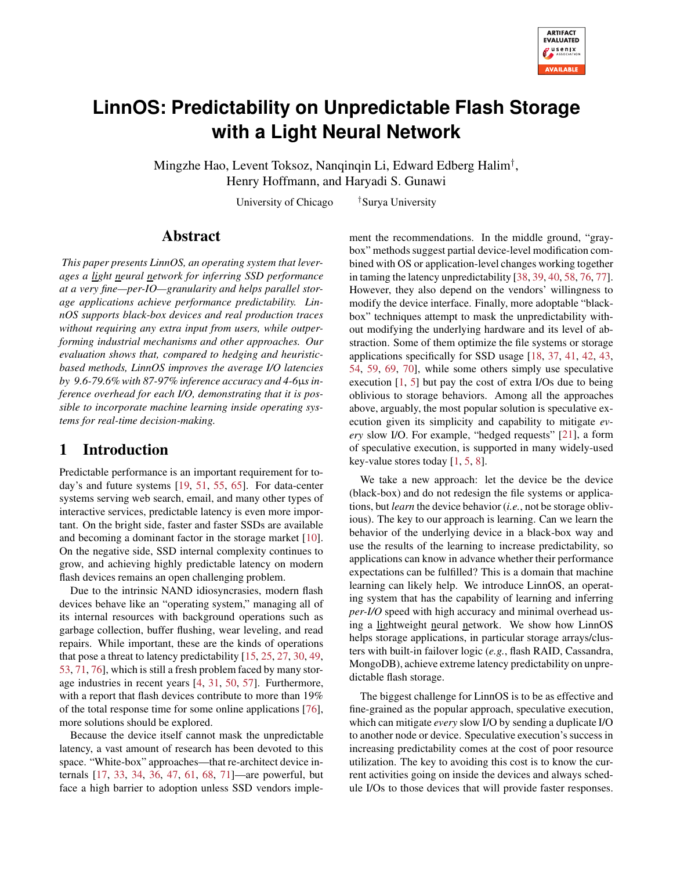

# **LinnOS: Predictability on Unpredictable Flash Storage with a Light Neural Network**

Mingzhe Hao, Levent Toksoz, Nanqinqin Li, Edward Edberg Halim† , Henry Hoffmann, and Haryadi S. Gunawi

University of Chicago <sup>†</sup>Surya University

# Abstract

*This paper presents LinnOS, an operating system that leverages a light neural network for inferring SSD performance at a very fine—per-IO—granularity and helps parallel storage applications achieve performance predictability. LinnOS supports black-box devices and real production traces without requiring any extra input from users, while outperforming industrial mechanisms and other approaches. Our evaluation shows that, compared to hedging and heuristicbased methods, LinnOS improves the average I/O latencies by 9.6-79.6% with 87-97% inference accuracy and 4-6*µ*s inference overhead for each I/O, demonstrating that it is possible to incorporate machine learning inside operating systems for real-time decision-making.*

# 1 Introduction

Predictable performance is an important requirement for today's and future systems [\[19,](#page-14-0) [51,](#page-16-0) [55](#page-16-1), [65\]](#page-16-2). For data-center systems serving web search, email, and many other types of interactive services, predictable latency is even more important. On the bright side, faster and faster SSDs are available and becoming a dominant factor in the storage market [\[10](#page-14-1)]. On the negative side, SSD internal complexity continues to grow, and achieving highly predictable latency on modern flash devices remains an open challenging problem.

Due to the intrinsic NAND idiosyncrasies, modern flash devices behave like an "operating system," managing all of its internal resources with background operations such as garbage collection, buffer flushing, wear leveling, and read repairs. While important, these are the kinds of operations that pose a threat to latency predictability [\[15,](#page-14-2) [25,](#page-14-3) [27](#page-15-0), [30,](#page-15-1) [49,](#page-16-3) [53,](#page-16-4) [71,](#page-17-0) [76\]](#page-17-1), which is still a fresh problem faced by many storage industries in recent years [\[4,](#page-14-4) [31,](#page-15-2) [50](#page-16-5), [57\]](#page-16-6). Furthermore, with a report that flash devices contribute to more than 19% of the total response time for some online applications [\[76](#page-17-1)], more solutions should be explored.

Because the device itself cannot mask the unpredictable latency, a vast amount of research has been devoted to this space. "White-box" approaches—that re-architect device internals [\[17,](#page-14-5) [33,](#page-15-3) [34,](#page-15-4) [36,](#page-15-5) [47](#page-15-6), [61](#page-16-7), [68](#page-16-8), [71](#page-17-0)]—are powerful, but face a high barrier to adoption unless SSD vendors implement the recommendations. In the middle ground, "graybox" methods suggest partial device-level modification combined with OS or application-level changes working together in taming the latency unpredictability [\[38](#page-15-7), [39,](#page-15-8) [40](#page-15-9), [58,](#page-16-9) [76,](#page-17-1) [77](#page-17-2)]. However, they also depend on the vendors' willingness to modify the device interface. Finally, more adoptable "blackbox" techniques attempt to mask the unpredictability without modifying the underlying hardware and its level of abstraction. Some of them optimize the file systems or storage applications specifically for SSD usage [\[18](#page-14-6), [37,](#page-15-10) [41](#page-15-11), [42,](#page-15-12) [43,](#page-15-13) [54,](#page-16-10) [59](#page-16-11), [69](#page-16-12), [70\]](#page-17-3), while some others simply use speculative execution  $\begin{bmatrix} 1, 5 \end{bmatrix}$  $\begin{bmatrix} 1, 5 \end{bmatrix}$  $\begin{bmatrix} 1, 5 \end{bmatrix}$  but pay the cost of extra I/Os due to being oblivious to storage behaviors. Among all the approaches above, arguably, the most popular solution is speculative execution given its simplicity and capability to mitigate *every* slow I/O. For example, "hedged requests" [\[21\]](#page-14-9), a form of speculative execution, is supported in many widely-used key-value stores today [\[1,](#page-14-7) [5,](#page-14-8) [8\]](#page-14-10).

We take a new approach: let the device be the device (black-box) and do not redesign the file systems or applications, but *learn* the device behavior (*i.e.*, not be storage oblivious). The key to our approach is learning. Can we learn the behavior of the underlying device in a black-box way and use the results of the learning to increase predictability, so applications can know in advance whether their performance expectations can be fulfilled? This is a domain that machine learning can likely help. We introduce LinnOS, an operating system that has the capability of learning and inferring *per-I/O* speed with high accuracy and minimal overhead using a lightweight neural network. We show how LinnOS helps storage applications, in particular storage arrays/clusters with built-in failover logic (*e.g.*, flash RAID, Cassandra, MongoDB), achieve extreme latency predictability on unpredictable flash storage.

The biggest challenge for LinnOS is to be as effective and fine-grained as the popular approach, speculative execution, which can mitigate *every* slow I/O by sending a duplicate I/O to another node or device. Speculative execution's success in increasing predictability comes at the cost of poor resource utilization. The key to avoiding this cost is to know the current activities going on inside the devices and always schedule I/Os to those devices that will provide faster responses.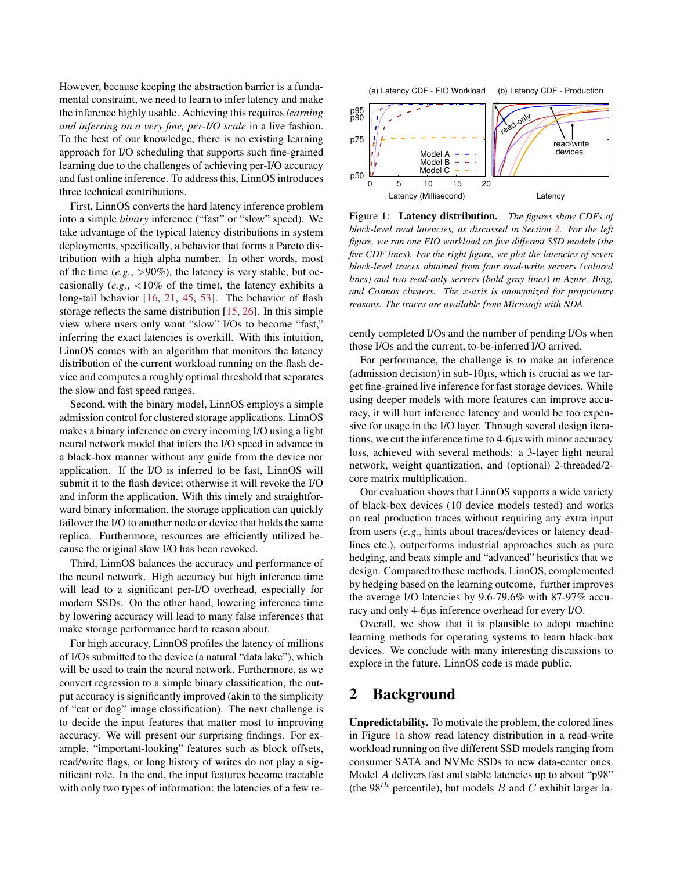However, because keeping the abstraction barrier is a fundamental constraint, we need to learn to infer latency and make the inference highly usable. Achieving this requires *learning and inferring on a very fine, per-I/O scale* in a live fashion. To the best of our knowledge, there is no existing learning approach for I/O scheduling that supports such fine-grained learning due to the challenges of achieving per-I/O accuracy and fast online inference. To address this, LinnOS introduces three technical contributions.

First, LinnOS converts the hard latency inference problem into a simple *binary* inference ("fast" or "slow" speed). We take advantage of the typical latency distributions in system deployments, specifically, a behavior that forms a Pareto distribution with a high alpha number. In other words, most of the time  $(e.g., >90\%)$ , the latency is very stable, but occasionally  $(e.g., <10\%$  of the time), the latency exhibits a long-tail behavior [\[16,](#page-14-11) [21,](#page-14-9) [45](#page-15-14), [53](#page-16-4)]. The behavior of flash storage reflects the same distribution [\[15,](#page-14-2) [26\]](#page-14-12). In this simple view where users only want "slow" I/Os to become "fast," inferring the exact latencies is overkill. With this intuition, LinnOS comes with an algorithm that monitors the latency distribution of the current workload running on the flash device and computes a roughly optimal threshold that separates the slow and fast speed ranges.

Second, with the binary model, LinnOS employs a simple admission control for clustered storage applications. LinnOS makes a binary inference on every incoming I/O using a light neural network model that infers the I/O speed in advance in a black-box manner without any guide from the device nor application. If the I/O is inferred to be fast, LinnOS will submit it to the flash device; otherwise it will revoke the I/O and inform the application. With this timely and straightforward binary information, the storage application can quickly failover the I/O to another node or device that holds the same replica. Furthermore, resources are efficiently utilized because the original slow I/O has been revoked.

Third, LinnOS balances the accuracy and performance of the neural network. High accuracy but high inference time will lead to a significant per-I/O overhead, especially for modern SSDs. On the other hand, lowering inference time by lowering accuracy will lead to many false inferences that make storage performance hard to reason about.

For high accuracy, LinnOS profiles the latency of millions of I/Os submitted to the device (a natural "data lake"), which will be used to train the neural network. Furthermore, as we convert regression to a simple binary classification, the output accuracy is significantly improved (akin to the simplicity of "cat or dog" image classification). The next challenge is to decide the input features that matter most to improving accuracy. We will present our surprising findings. For example, "important-looking" features such as block offsets, read/write flags, or long history of writes do not play a significant role. In the end, the input features become tractable with only two types of information: the latencies of a few re-



<span id="page-1-1"></span>Figure 1: Latency distribution. *The figures show CDFs of block-level read latencies, as discussed in Section [2.](#page-1-0) For the left figure, we ran one FIO workload on five different SSD models (the five CDF lines). For the right figure, we plot the latencies of seven block-level traces obtained from four read-write servers (colored lines) and two read-only servers (bold gray lines) in Azure, Bing, and Cosmos clusters. The* x*-axis is anonymized for proprietary reasons. The traces are available from Microsoft with NDA.*

cently completed I/Os and the number of pending I/Os when those I/Os and the current, to-be-inferred I/O arrived.

For performance, the challenge is to make an inference (admission decision) in sub-10µs, which is crucial as we target fine-grained live inference for fast storage devices. While using deeper models with more features can improve accuracy, it will hurt inference latency and would be too expensive for usage in the I/O layer. Through several design iterations, we cut the inference time to 4-6µs with minor accuracy loss, achieved with several methods: a 3-layer light neural network, weight quantization, and (optional) 2-threaded/2 core matrix multiplication.

Our evaluation shows that LinnOS supports a wide variety of black-box devices (10 device models tested) and works on real production traces without requiring any extra input from users (*e.g.*, hints about traces/devices or latency deadlines etc.), outperforms industrial approaches such as pure hedging, and beats simple and "advanced" heuristics that we design. Compared to these methods, LinnOS, complemented by hedging based on the learning outcome, further improves the average I/O latencies by 9.6-79.6% with 87-97% accuracy and only 4-6µs inference overhead for every I/O.

Overall, we show that it is plausible to adopt machine learning methods for operating systems to learn black-box devices. We conclude with many interesting discussions to explore in the future. LinnOS code is made public.

# <span id="page-1-0"></span>2 Background

Unpredictability. To motivate the problem, the colored lines in Figure [1a](#page-1-1) show read latency distribution in a read-write workload running on five different SSD models ranging from consumer SATA and NVMe SSDs to new data-center ones. Model A delivers fast and stable latencies up to about "p98" (the 98<sup>th</sup> percentile), but models B and C exhibit larger la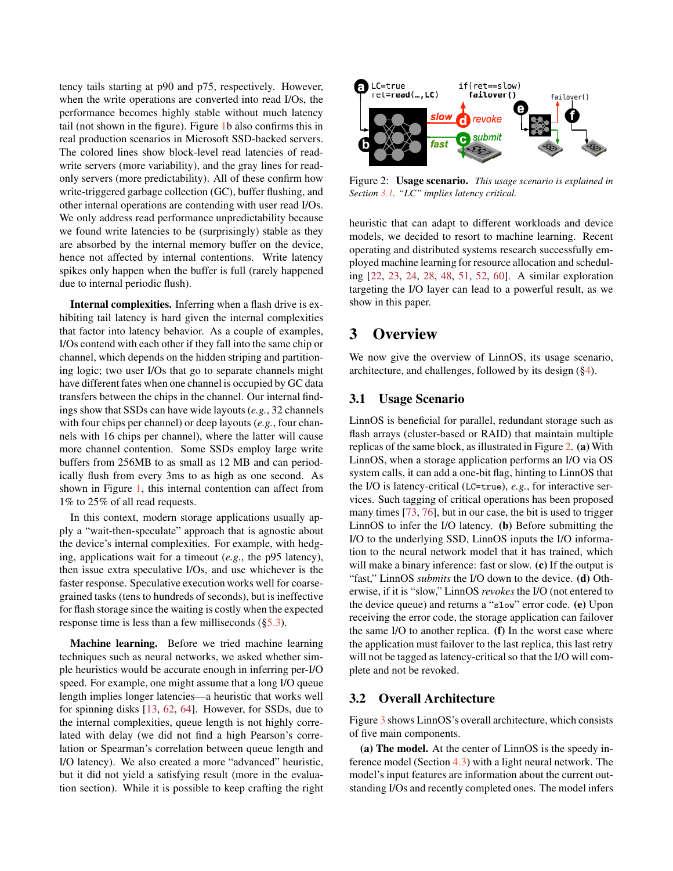tency tails starting at p90 and p75, respectively. However, when the write operations are converted into read I/Os, the performance becomes highly stable without much latency tail (not shown in the figure). Figure [1b](#page-1-1) also confirms this in real production scenarios in Microsoft SSD-backed servers. The colored lines show block-level read latencies of readwrite servers (more variability), and the gray lines for readonly servers (more predictability). All of these confirm how write-triggered garbage collection (GC), buffer flushing, and other internal operations are contending with user read I/Os. We only address read performance unpredictability because we found write latencies to be (surprisingly) stable as they are absorbed by the internal memory buffer on the device, hence not affected by internal contentions. Write latency spikes only happen when the buffer is full (rarely happened due to internal periodic flush).

Internal complexities. Inferring when a flash drive is exhibiting tail latency is hard given the internal complexities that factor into latency behavior. As a couple of examples, I/Os contend with each other if they fall into the same chip or channel, which depends on the hidden striping and partitioning logic; two user I/Os that go to separate channels might have different fates when one channel is occupied by GC data transfers between the chips in the channel. Our internal findings show that SSDs can have wide layouts (*e.g.*, 32 channels with four chips per channel) or deep layouts (*e.g.*, four channels with 16 chips per channel), where the latter will cause more channel contention. Some SSDs employ large write buffers from 256MB to as small as 12 MB and can periodically flush from every 3ms to as high as one second. As shown in Figure [1,](#page-1-1) this internal contention can affect from 1% to 25% of all read requests.

In this context, modern storage applications usually apply a "wait-then-speculate" approach that is agnostic about the device's internal complexities. For example, with hedging, applications wait for a timeout (*e.g.*, the p95 latency), then issue extra speculative I/Os, and use whichever is the faster response. Speculative execution works well for coarsegrained tasks (tens to hundreds of seconds), but is ineffective for flash storage since the waiting is costly when the expected response time is less than a few milliseconds  $(\S5.3)$ .

Machine learning. Before we tried machine learning techniques such as neural networks, we asked whether simple heuristics would be accurate enough in inferring per-I/O speed. For example, one might assume that a long I/O queue length implies longer latencies—a heuristic that works well for spinning disks [\[13](#page-14-13), [62,](#page-16-13) [64](#page-16-14)]. However, for SSDs, due to the internal complexities, queue length is not highly correlated with delay (we did not find a high Pearson's correlation or Spearman's correlation between queue length and I/O latency). We also created a more "advanced" heuristic, but it did not yield a satisfying result (more in the evaluation section). While it is possible to keep crafting the right



<span id="page-2-1"></span>Figure 2: Usage scenario. *This usage scenario is explained in Section [3.1.](#page-2-0) "LC" implies latency critical.*

heuristic that can adapt to different workloads and device models, we decided to resort to machine learning. Recent operating and distributed systems research successfully employed machine learning for resource allocation and scheduling [\[22,](#page-14-14) [23](#page-14-15), [24](#page-14-16), [28](#page-15-15), [48](#page-16-15), [51](#page-16-0), [52](#page-16-16), [60](#page-16-17)]. A similar exploration targeting the I/O layer can lead to a powerful result, as we show in this paper.

# 3 Overview

We now give the overview of LinnOS, its usage scenario, architecture, and challenges, followed by its design  $(\frac{6}{4})$ .

### <span id="page-2-0"></span>3.1 Usage Scenario

LinnOS is beneficial for parallel, redundant storage such as flash arrays (cluster-based or RAID) that maintain multiple replicas of the same block, as illustrated in Figure [2.](#page-2-1) (a) With LinnOS, when a storage application performs an I/O via OS system calls, it can add a one-bit flag, hinting to LinnOS that the I/O is latency-critical (LC=true), *e.g.*, for interactive services. Such tagging of critical operations has been proposed many times [\[73](#page-17-4), [76](#page-17-1)], but in our case, the bit is used to trigger LinnOS to infer the I/O latency. (b) Before submitting the I/O to the underlying SSD, LinnOS inputs the I/O information to the neural network model that it has trained, which will make a binary inference: fast or slow. (c) If the output is "fast," LinnOS *submits* the I/O down to the device. (d) Otherwise, if it is "slow," LinnOS *revokes* the I/O (not entered to the device queue) and returns a "slow" error code. (e) Upon receiving the error code, the storage application can failover the same I/O to another replica. (f) In the worst case where the application must failover to the last replica, this last retry will not be tagged as latency-critical so that the I/O will complete and not be revoked.

### <span id="page-2-2"></span>3.2 Overall Architecture

Figure [3](#page-3-0) shows LinnOS's overall architecture, which consists of five main components.

(a) The model. At the center of LinnOS is the speedy inference model (Section [4.3\)](#page-5-0) with a light neural network. The model's input features are information about the current outstanding I/Os and recently completed ones. The model infers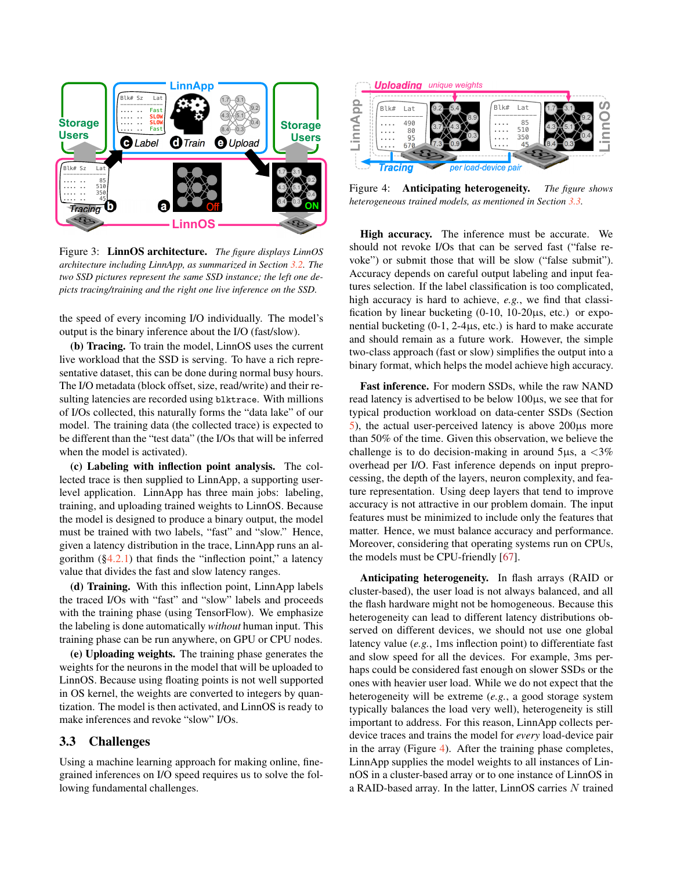

<span id="page-3-0"></span>Figure 3: LinnOS architecture. *The figure displays LinnOS architecture including LinnApp, as summarized in Section [3.2.](#page-2-2) The two SSD pictures represent the same SSD instance; the left one depicts tracing/training and the right one live inference on the SSD.*

the speed of every incoming I/O individually. The model's output is the binary inference about the I/O (fast/slow).

(b) Tracing. To train the model, LinnOS uses the current live workload that the SSD is serving. To have a rich representative dataset, this can be done during normal busy hours. The I/O metadata (block offset, size, read/write) and their resulting latencies are recorded using blktrace. With millions of I/Os collected, this naturally forms the "data lake" of our model. The training data (the collected trace) is expected to be different than the "test data" (the I/Os that will be inferred when the model is activated).

(c) Labeling with inflection point analysis. The collected trace is then supplied to LinnApp, a supporting userlevel application. LinnApp has three main jobs: labeling, training, and uploading trained weights to LinnOS. Because the model is designed to produce a binary output, the model must be trained with two labels, "fast" and "slow." Hence, given a latency distribution in the trace, LinnApp runs an algorithm  $(\S 4.2.1)$  that finds the "inflection point," a latency value that divides the fast and slow latency ranges.

(d) Training. With this inflection point, LinnApp labels the traced I/Os with "fast" and "slow" labels and proceeds with the training phase (using TensorFlow). We emphasize the labeling is done automatically *without* human input. This training phase can be run anywhere, on GPU or CPU nodes.

(e) Uploading weights. The training phase generates the weights for the neurons in the model that will be uploaded to LinnOS. Because using floating points is not well supported in OS kernel, the weights are converted to integers by quantization. The model is then activated, and LinnOS is ready to make inferences and revoke "slow" I/Os.

### <span id="page-3-1"></span>3.3 Challenges

Using a machine learning approach for making online, finegrained inferences on I/O speed requires us to solve the following fundamental challenges.



<span id="page-3-2"></span>Figure 4: Anticipating heterogeneity. *The figure shows heterogeneous trained models, as mentioned in Section [3.3.](#page-3-1)*

High accuracy. The inference must be accurate. We should not revoke I/Os that can be served fast ("false revoke") or submit those that will be slow ("false submit"). Accuracy depends on careful output labeling and input features selection. If the label classification is too complicated, high accuracy is hard to achieve, *e.g.*, we find that classification by linear bucketing  $(0-10, 10-20\mu s, etc.)$  or exponential bucketing  $(0-1, 2-4\mu s, etc.)$  is hard to make accurate and should remain as a future work. However, the simple two-class approach (fast or slow) simplifies the output into a binary format, which helps the model achieve high accuracy.

Fast inference. For modern SSDs, while the raw NAND read latency is advertised to be below 100µs, we see that for typical production workload on data-center SSDs (Section [5\)](#page-8-0), the actual user-perceived latency is above  $200\mu s$  more than 50% of the time. Given this observation, we believe the challenge is to do decision-making in around  $5\mu s$ , a  $\lt 3\%$ overhead per I/O. Fast inference depends on input preprocessing, the depth of the layers, neuron complexity, and feature representation. Using deep layers that tend to improve accuracy is not attractive in our problem domain. The input features must be minimized to include only the features that matter. Hence, we must balance accuracy and performance. Moreover, considering that operating systems run on CPUs, the models must be CPU-friendly [\[67\]](#page-16-18).

Anticipating heterogeneity. In flash arrays (RAID or cluster-based), the user load is not always balanced, and all the flash hardware might not be homogeneous. Because this heterogeneity can lead to different latency distributions observed on different devices, we should not use one global latency value (*e.g.*, 1ms inflection point) to differentiate fast and slow speed for all the devices. For example, 3ms perhaps could be considered fast enough on slower SSDs or the ones with heavier user load. While we do not expect that the heterogeneity will be extreme (*e.g.*, a good storage system typically balances the load very well), heterogeneity is still important to address. For this reason, LinnApp collects perdevice traces and trains the model for *every* load-device pair in the array (Figure [4\)](#page-3-2). After the training phase completes, LinnApp supplies the model weights to all instances of LinnOS in a cluster-based array or to one instance of LinnOS in a RAID-based array. In the latter, LinnOS carries N trained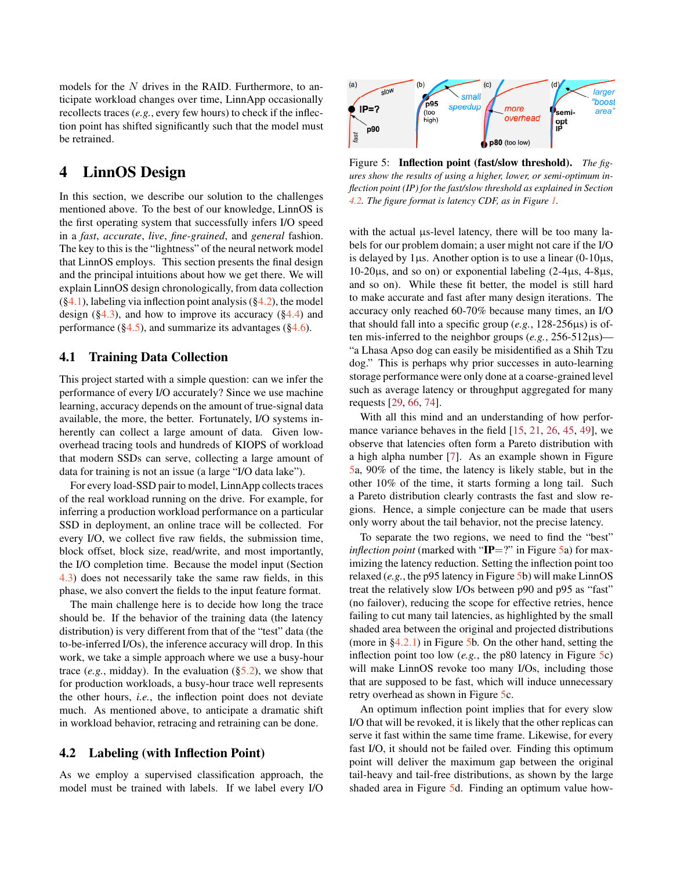models for the N drives in the RAID. Furthermore, to anticipate workload changes over time, LinnApp occasionally recollects traces (*e.g.*, every few hours) to check if the inflection point has shifted significantly such that the model must be retrained.

# <span id="page-4-0"></span>4 LinnOS Design

In this section, we describe our solution to the challenges mentioned above. To the best of our knowledge, LinnOS is the first operating system that successfully infers I/O speed in a *fast*, *accurate*, *live*, *fine-grained*, and *general* fashion. The key to this is the "lightness" of the neural network model that LinnOS employs. This section presents the final design and the principal intuitions about how we get there. We will explain LinnOS design chronologically, from data collection  $(\S4.1)$ , labeling via inflection point analysis  $(\S4.2)$ , the model design  $(\S4.3)$ , and how to improve its accuracy  $(\S4.4)$  and performance  $(\S 4.5)$ , and summarize its advantages  $(\S 4.6)$ .

### <span id="page-4-1"></span>4.1 Training Data Collection

This project started with a simple question: can we infer the performance of every I/O accurately? Since we use machine learning, accuracy depends on the amount of true-signal data available, the more, the better. Fortunately, I/O systems inherently can collect a large amount of data. Given lowoverhead tracing tools and hundreds of KIOPS of workload that modern SSDs can serve, collecting a large amount of data for training is not an issue (a large "I/O data lake").

For every load-SSD pair to model, LinnApp collects traces of the real workload running on the drive. For example, for inferring a production workload performance on a particular SSD in deployment, an online trace will be collected. For every I/O, we collect five raw fields, the submission time, block offset, block size, read/write, and most importantly, the I/O completion time. Because the model input (Section [4.3\)](#page-5-0) does not necessarily take the same raw fields, in this phase, we also convert the fields to the input feature format.

The main challenge here is to decide how long the trace should be. If the behavior of the training data (the latency distribution) is very different from that of the "test" data (the to-be-inferred I/Os), the inference accuracy will drop. In this work, we take a simple approach where we use a busy-hour trace  $(e.g., midday)$ . In the evaluation  $(\S5.2)$ , we show that for production workloads, a busy-hour trace well represents the other hours, *i.e.*, the inflection point does not deviate much. As mentioned above, to anticipate a dramatic shift in workload behavior, retracing and retraining can be done.

#### <span id="page-4-2"></span>4.2 Labeling (with Inflection Point)

As we employ a supervised classification approach, the model must be trained with labels. If we label every I/O



<span id="page-4-3"></span>Figure 5: Inflection point (fast/slow threshold). *The figures show the results of using a higher, lower, or semi-optimum inflection point (IP) for the fast/slow threshold as explained in Section [4.2.](#page-4-2) The figure format is latency CDF, as in Figure [1.](#page-1-1)*

with the actual us-level latency, there will be too many labels for our problem domain; a user might not care if the I/O is delayed by  $1\mu s$ . Another option is to use a linear  $(0-10\mu s)$ , 10-20 $\mu$ s, and so on) or exponential labeling (2-4 $\mu$ s, 4-8 $\mu$ s, and so on). While these fit better, the model is still hard to make accurate and fast after many design iterations. The accuracy only reached 60-70% because many times, an I/O that should fall into a specific group (*e.g.*, 128-256µs) is often mis-inferred to the neighbor groups (*e.g.*, 256-512µs)— "a Lhasa Apso dog can easily be misidentified as a Shih Tzu dog." This is perhaps why prior successes in auto-learning storage performance were only done at a coarse-grained level such as average latency or throughput aggregated for many requests [\[29](#page-15-16), [66](#page-16-19), [74](#page-17-5)].

With all this mind and an understanding of how performance variance behaves in the field [\[15,](#page-14-2) [21](#page-14-9), [26](#page-14-12), [45,](#page-15-14) [49\]](#page-16-3), we observe that latencies often form a Pareto distribution with a high alpha number [\[7\]](#page-14-17). As an example shown in Figure [5a](#page-4-3), 90% of the time, the latency is likely stable, but in the other 10% of the time, it starts forming a long tail. Such a Pareto distribution clearly contrasts the fast and slow regions. Hence, a simple conjecture can be made that users only worry about the tail behavior, not the precise latency.

To separate the two regions, we need to find the "best" *inflection point* (marked with " $IP=$ ?" in Figure [5a](#page-4-3)) for maximizing the latency reduction. Setting the inflection point too relaxed (*e.g.*, the p95 latency in Figure [5b](#page-4-3)) will make LinnOS treat the relatively slow I/Os between p90 and p95 as "fast" (no failover), reducing the scope for effective retries, hence failing to cut many tail latencies, as highlighted by the small shaded area between the original and projected distributions (more in  $\S 4.2.1$ ) in Figure [5b](#page-4-3). On the other hand, setting the inflection point too low (*e.g.*, the p80 latency in Figure [5c](#page-4-3)) will make LinnOS revoke too many I/Os, including those that are supposed to be fast, which will induce unnecessary retry overhead as shown in Figure [5c](#page-4-3).

An optimum inflection point implies that for every slow I/O that will be revoked, it is likely that the other replicas can serve it fast within the same time frame. Likewise, for every fast I/O, it should not be failed over. Finding this optimum point will deliver the maximum gap between the original tail-heavy and tail-free distributions, as shown by the large shaded area in Figure [5d](#page-4-3). Finding an optimum value how-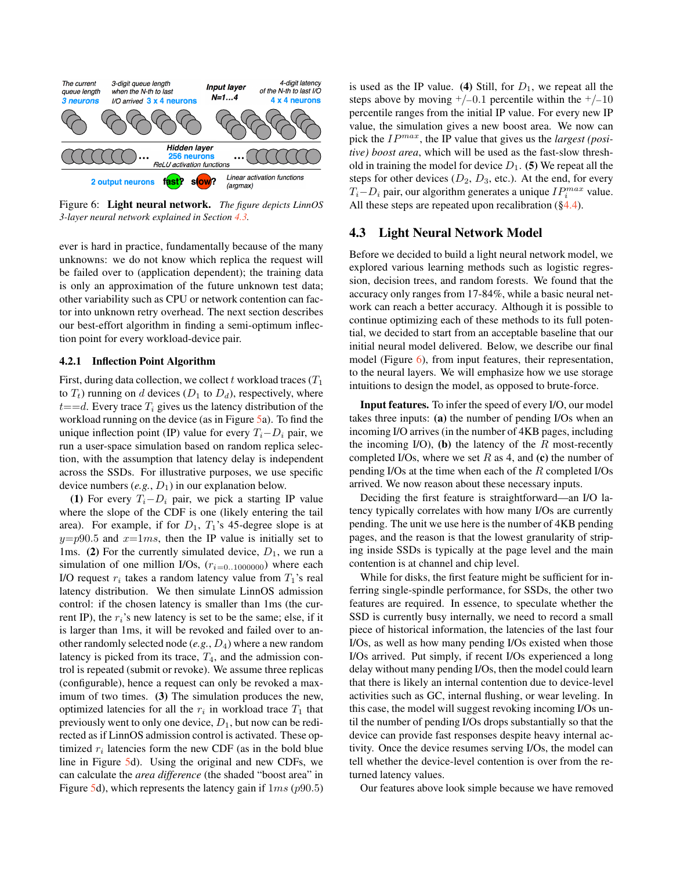

<span id="page-5-2"></span>Figure 6: Light neural network. *The figure depicts LinnOS 3-layer neural network explained in Section [4.3.](#page-5-0)*

ever is hard in practice, fundamentally because of the many unknowns: we do not know which replica the request will be failed over to (application dependent); the training data is only an approximation of the future unknown test data; other variability such as CPU or network contention can factor into unknown retry overhead. The next section describes our best-effort algorithm in finding a semi-optimum inflection point for every workload-device pair.

#### <span id="page-5-1"></span>4.2.1 Inflection Point Algorithm

First, during data collection, we collect t workload traces  $(T_1)$ to  $T_t$ ) running on d devices ( $D_1$  to  $D_d$ ), respectively, where  $t=-d$ . Every trace  $T_i$  gives us the latency distribution of the workload running on the device (as in Figure [5a](#page-4-3)). To find the unique inflection point (IP) value for every  $T_i - D_i$  pair, we run a user-space simulation based on random replica selection, with the assumption that latency delay is independent across the SSDs. For illustrative purposes, we use specific device numbers  $(e.g., D_1)$  in our explanation below.

(1) For every  $T_i - D_i$  pair, we pick a starting IP value where the slope of the CDF is one (likely entering the tail area). For example, if for  $D_1$ ,  $T_1$ 's 45-degree slope is at  $y=p90.5$  and  $x=1ms$ , then the IP value is initially set to 1ms. (2) For the currently simulated device,  $D_1$ , we run a simulation of one million I/Os,  $(r_{i=0..1000000})$  where each I/O request  $r_i$  takes a random latency value from  $T_1$ 's real latency distribution. We then simulate LinnOS admission control: if the chosen latency is smaller than 1ms (the current IP), the  $r_i$ 's new latency is set to be the same; else, if it is larger than 1ms, it will be revoked and failed over to another randomly selected node (*e.g.*, D4) where a new random latency is picked from its trace,  $T_4$ , and the admission control is repeated (submit or revoke). We assume three replicas (configurable), hence a request can only be revoked a maximum of two times. (3) The simulation produces the new, optimized latencies for all the  $r_i$  in workload trace  $T_1$  that previously went to only one device,  $D_1$ , but now can be redirected as if LinnOS admission control is activated. These optimized  $r_i$  latencies form the new CDF (as in the bold blue line in Figure [5d](#page-4-3)). Using the original and new CDFs, we can calculate the *area difference* (the shaded "boost area" in Figure [5d](#page-4-3)), which represents the latency gain if  $1ms (p90.5)$  is used as the IP value. (4) Still, for  $D_1$ , we repeat all the steps above by moving  $+/-0.1$  percentile within the  $+/-10$ percentile ranges from the initial IP value. For every new IP value, the simulation gives a new boost area. We now can pick the IP max, the IP value that gives us the *largest (positive) boost area*, which will be used as the fast-slow threshold in training the model for device  $D_1$ . (5) We repeat all the steps for other devices  $(D_2, D_3, \text{ etc.})$ . At the end, for every  $T_i - D_i$  pair, our algorithm generates a unique  $IP_i^{max}$  value. All these steps are repeated upon recalibration  $(\S 4.4)$ .

#### <span id="page-5-0"></span>4.3 Light Neural Network Model

Before we decided to build a light neural network model, we explored various learning methods such as logistic regression, decision trees, and random forests. We found that the accuracy only ranges from 17-84%, while a basic neural network can reach a better accuracy. Although it is possible to continue optimizing each of these methods to its full potential, we decided to start from an acceptable baseline that our initial neural model delivered. Below, we describe our final model (Figure [6\)](#page-5-2), from input features, their representation, to the neural layers. We will emphasize how we use storage intuitions to design the model, as opposed to brute-force.

Input features. To infer the speed of every I/O, our model takes three inputs: (a) the number of pending I/Os when an incoming I/O arrives (in the number of 4KB pages, including the incoming  $I/O$ , (b) the latency of the R most-recently completed I/Os, where we set R as 4, and (c) the number of pending I/Os at the time when each of the R completed I/Os arrived. We now reason about these necessary inputs.

Deciding the first feature is straightforward—an I/O latency typically correlates with how many I/Os are currently pending. The unit we use here is the number of 4KB pending pages, and the reason is that the lowest granularity of striping inside SSDs is typically at the page level and the main contention is at channel and chip level.

While for disks, the first feature might be sufficient for inferring single-spindle performance, for SSDs, the other two features are required. In essence, to speculate whether the SSD is currently busy internally, we need to record a small piece of historical information, the latencies of the last four I/Os, as well as how many pending I/Os existed when those I/Os arrived. Put simply, if recent I/Os experienced a long delay without many pending I/Os, then the model could learn that there is likely an internal contention due to device-level activities such as GC, internal flushing, or wear leveling. In this case, the model will suggest revoking incoming I/Os until the number of pending I/Os drops substantially so that the device can provide fast responses despite heavy internal activity. Once the device resumes serving I/Os, the model can tell whether the device-level contention is over from the returned latency values.

Our features above look simple because we have removed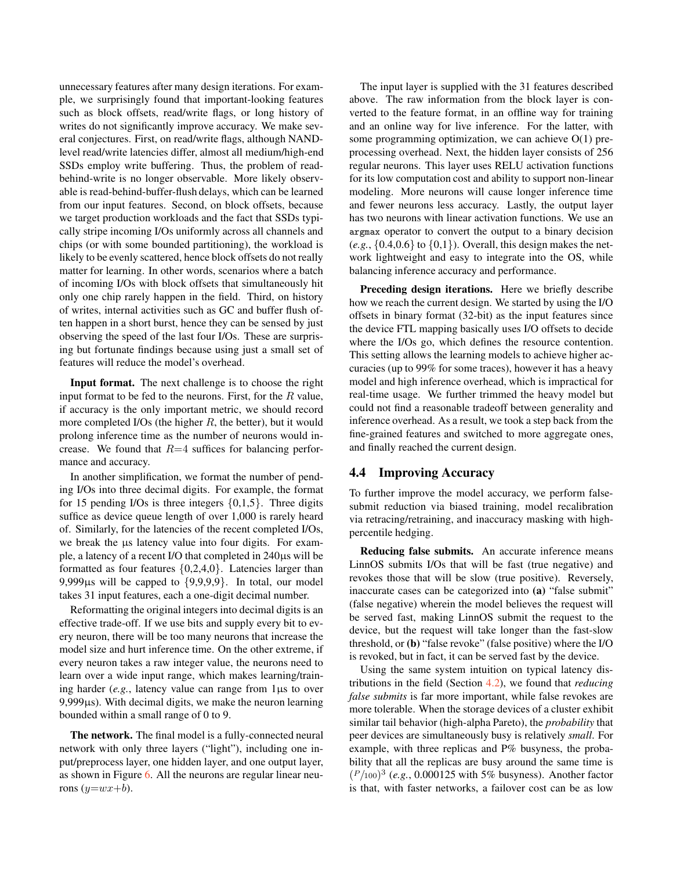unnecessary features after many design iterations. For example, we surprisingly found that important-looking features such as block offsets, read/write flags, or long history of writes do not significantly improve accuracy. We make several conjectures. First, on read/write flags, although NANDlevel read/write latencies differ, almost all medium/high-end SSDs employ write buffering. Thus, the problem of readbehind-write is no longer observable. More likely observable is read-behind-buffer-flush delays, which can be learned from our input features. Second, on block offsets, because we target production workloads and the fact that SSDs typically stripe incoming I/Os uniformly across all channels and chips (or with some bounded partitioning), the workload is likely to be evenly scattered, hence block offsets do not really matter for learning. In other words, scenarios where a batch of incoming I/Os with block offsets that simultaneously hit only one chip rarely happen in the field. Third, on history of writes, internal activities such as GC and buffer flush often happen in a short burst, hence they can be sensed by just observing the speed of the last four I/Os. These are surprising but fortunate findings because using just a small set of features will reduce the model's overhead.

Input format. The next challenge is to choose the right input format to be fed to the neurons. First, for the  $R$  value, if accuracy is the only important metric, we should record more completed I/Os (the higher  $R$ , the better), but it would prolong inference time as the number of neurons would increase. We found that  $R=4$  suffices for balancing performance and accuracy.

In another simplification, we format the number of pending I/Os into three decimal digits. For example, the format for 15 pending I/Os is three integers  $\{0,1,5\}$ . Three digits suffice as device queue length of over 1,000 is rarely heard of. Similarly, for the latencies of the recent completed I/Os, we break the  $\mu$ s latency value into four digits. For example, a latency of a recent I/O that completed in 240µs will be formatted as four features  $\{0,2,4,0\}$ . Latencies larger than 9,999 $\mu$ s will be capped to  $\{9,9,9,9\}$ . In total, our model takes 31 input features, each a one-digit decimal number.

Reformatting the original integers into decimal digits is an effective trade-off. If we use bits and supply every bit to every neuron, there will be too many neurons that increase the model size and hurt inference time. On the other extreme, if every neuron takes a raw integer value, the neurons need to learn over a wide input range, which makes learning/training harder (*e.g.*, latency value can range from 1µs to over  $9,999\,\mu s$ ). With decimal digits, we make the neuron learning bounded within a small range of 0 to 9.

The network. The final model is a fully-connected neural network with only three layers ("light"), including one input/preprocess layer, one hidden layer, and one output layer, as shown in Figure [6.](#page-5-2) All the neurons are regular linear neurons  $(y=wx+b)$ .

The input layer is supplied with the 31 features described above. The raw information from the block layer is converted to the feature format, in an offline way for training and an online way for live inference. For the latter, with some programming optimization, we can achieve  $O(1)$  preprocessing overhead. Next, the hidden layer consists of 256 regular neurons. This layer uses RELU activation functions for its low computation cost and ability to support non-linear modeling. More neurons will cause longer inference time and fewer neurons less accuracy. Lastly, the output layer has two neurons with linear activation functions. We use an argmax operator to convert the output to a binary decision  $(e.g., \{0.4, 0.6\}$  to  $\{0,1\})$ . Overall, this design makes the network lightweight and easy to integrate into the OS, while balancing inference accuracy and performance.

Preceding design iterations. Here we briefly describe how we reach the current design. We started by using the I/O offsets in binary format (32-bit) as the input features since the device FTL mapping basically uses I/O offsets to decide where the I/Os go, which defines the resource contention. This setting allows the learning models to achieve higher accuracies (up to 99% for some traces), however it has a heavy model and high inference overhead, which is impractical for real-time usage. We further trimmed the heavy model but could not find a reasonable tradeoff between generality and inference overhead. As a result, we took a step back from the fine-grained features and switched to more aggregate ones, and finally reached the current design.

### <span id="page-6-0"></span>4.4 Improving Accuracy

To further improve the model accuracy, we perform falsesubmit reduction via biased training, model recalibration via retracing/retraining, and inaccuracy masking with highpercentile hedging.

Reducing false submits. An accurate inference means LinnOS submits I/Os that will be fast (true negative) and revokes those that will be slow (true positive). Reversely, inaccurate cases can be categorized into (a) "false submit" (false negative) wherein the model believes the request will be served fast, making LinnOS submit the request to the device, but the request will take longer than the fast-slow threshold, or (b) "false revoke" (false positive) where the I/O is revoked, but in fact, it can be served fast by the device.

Using the same system intuition on typical latency distributions in the field (Section [4.2\)](#page-4-2), we found that *reducing false submits* is far more important, while false revokes are more tolerable. When the storage devices of a cluster exhibit similar tail behavior (high-alpha Pareto), the *probability* that peer devices are simultaneously busy is relatively *small*. For example, with three replicas and P% busyness, the probability that all the replicas are busy around the same time is  $(P/100)^3$  (e.g., 0.000125 with 5% busyness). Another factor is that, with faster networks, a failover cost can be as low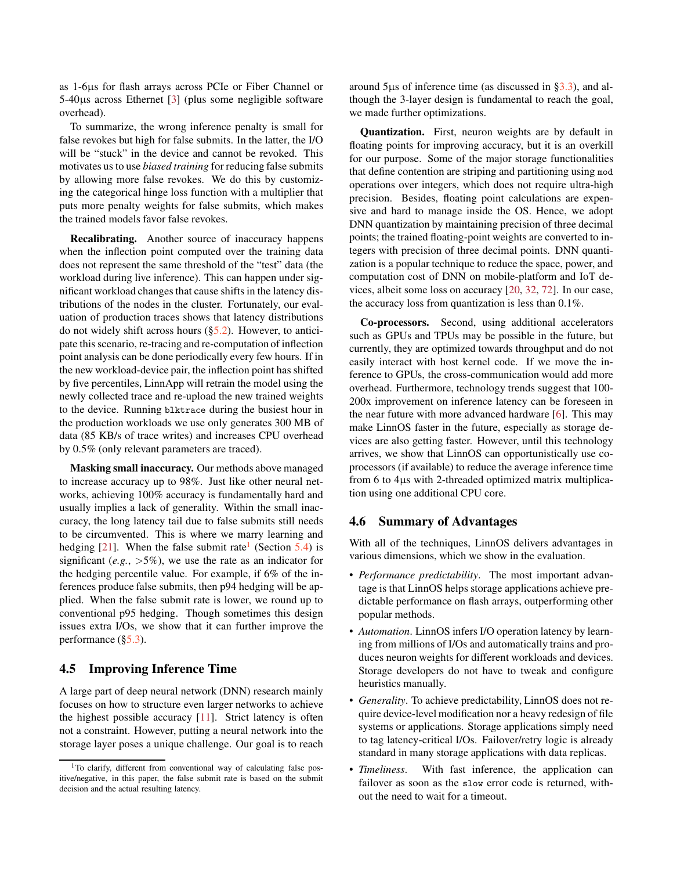as 1-6µs for flash arrays across PCIe or Fiber Channel or 5-40µs across Ethernet [\[3\]](#page-14-18) (plus some negligible software overhead).

To summarize, the wrong inference penalty is small for false revokes but high for false submits. In the latter, the I/O will be "stuck" in the device and cannot be revoked. This motivates us to use *biased training* for reducing false submits by allowing more false revokes. We do this by customizing the categorical hinge loss function with a multiplier that puts more penalty weights for false submits, which makes the trained models favor false revokes.

Recalibrating. Another source of inaccuracy happens when the inflection point computed over the training data does not represent the same threshold of the "test" data (the workload during live inference). This can happen under significant workload changes that cause shifts in the latency distributions of the nodes in the cluster. Fortunately, our evaluation of production traces shows that latency distributions do not widely shift across hours ([§5.2\)](#page-9-1). However, to anticipate this scenario, re-tracing and re-computation of inflection point analysis can be done periodically every few hours. If in the new workload-device pair, the inflection point has shifted by five percentiles, LinnApp will retrain the model using the newly collected trace and re-upload the new trained weights to the device. Running blktrace during the busiest hour in the production workloads we use only generates 300 MB of data (85 KB/s of trace writes) and increases CPU overhead by 0.5% (only relevant parameters are traced).

Masking small inaccuracy. Our methods above managed to increase accuracy up to 98%. Just like other neural networks, achieving 100% accuracy is fundamentally hard and usually implies a lack of generality. Within the small inaccuracy, the long latency tail due to false submits still needs to be circumvented. This is where we marry learning and hedging  $[21]$ . When the false submit rate<sup>1</sup> (Section [5.4\)](#page-11-0) is significant  $(e.g., >5\%)$ , we use the rate as an indicator for the hedging percentile value. For example, if 6% of the inferences produce false submits, then p94 hedging will be applied. When the false submit rate is lower, we round up to conventional p95 hedging. Though sometimes this design issues extra I/Os, we show that it can further improve the performance ([§5.3\)](#page-9-0).

#### <span id="page-7-0"></span>4.5 Improving Inference Time

A large part of deep neural network (DNN) research mainly focuses on how to structure even larger networks to achieve the highest possible accuracy [\[11\]](#page-14-19). Strict latency is often not a constraint. However, putting a neural network into the storage layer poses a unique challenge. Our goal is to reach around 5µs of inference time (as discussed in [§3.3\)](#page-3-1), and although the 3-layer design is fundamental to reach the goal, we made further optimizations.

Quantization. First, neuron weights are by default in floating points for improving accuracy, but it is an overkill for our purpose. Some of the major storage functionalities that define contention are striping and partitioning using mod operations over integers, which does not require ultra-high precision. Besides, floating point calculations are expensive and hard to manage inside the OS. Hence, we adopt DNN quantization by maintaining precision of three decimal points; the trained floating-point weights are converted to integers with precision of three decimal points. DNN quantization is a popular technique to reduce the space, power, and computation cost of DNN on mobile-platform and IoT devices, albeit some loss on accuracy [\[20](#page-14-20), [32,](#page-15-17) [72\]](#page-17-6). In our case, the accuracy loss from quantization is less than 0.1%.

Co-processors. Second, using additional accelerators such as GPUs and TPUs may be possible in the future, but currently, they are optimized towards throughput and do not easily interact with host kernel code. If we move the inference to GPUs, the cross-communication would add more overhead. Furthermore, technology trends suggest that 100- 200x improvement on inference latency can be foreseen in the near future with more advanced hardware [\[6\]](#page-14-21). This may make LinnOS faster in the future, especially as storage devices are also getting faster. However, until this technology arrives, we show that LinnOS can opportunistically use coprocessors (if available) to reduce the average inference time from 6 to 4µs with 2-threaded optimized matrix multiplication using one additional CPU core.

#### <span id="page-7-1"></span>4.6 Summary of Advantages

With all of the techniques, LinnOS delivers advantages in various dimensions, which we show in the evaluation.

- *Performance predictability*. The most important advantage is that LinnOS helps storage applications achieve predictable performance on flash arrays, outperforming other popular methods.
- *Automation*. LinnOS infers I/O operation latency by learning from millions of I/Os and automatically trains and produces neuron weights for different workloads and devices. Storage developers do not have to tweak and configure heuristics manually.
- *Generality*. To achieve predictability, LinnOS does not require device-level modification nor a heavy redesign of file systems or applications. Storage applications simply need to tag latency-critical I/Os. Failover/retry logic is already standard in many storage applications with data replicas.
- *Timeliness*. With fast inference, the application can failover as soon as the slow error code is returned, without the need to wait for a timeout.

<sup>&</sup>lt;sup>1</sup>To clarify, different from conventional way of calculating false positive/negative, in this paper, the false submit rate is based on the submit decision and the actual resulting latency.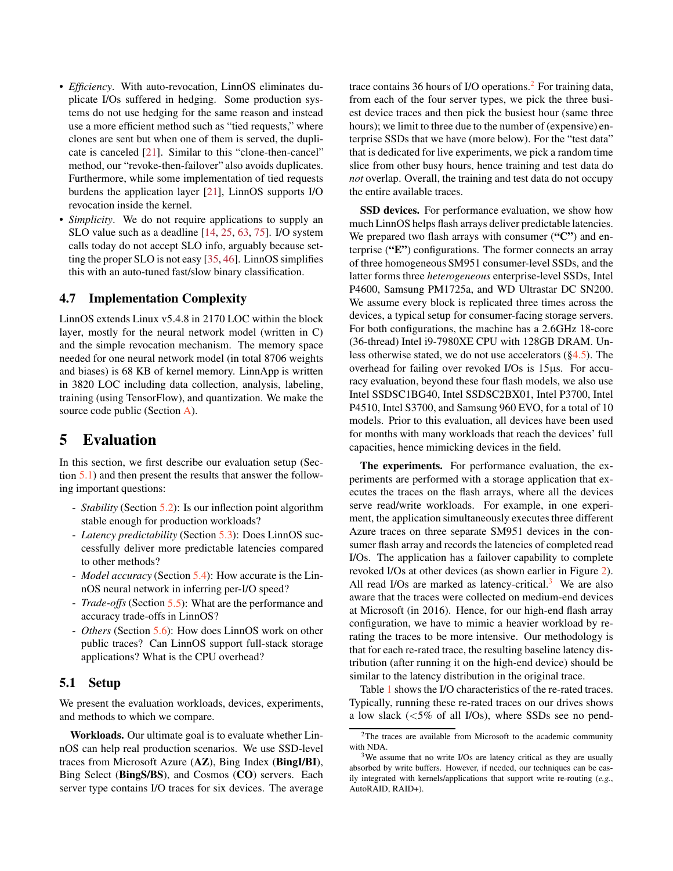- *Efficiency*. With auto-revocation, LinnOS eliminates duplicate I/Os suffered in hedging. Some production systems do not use hedging for the same reason and instead use a more efficient method such as "tied requests," where clones are sent but when one of them is served, the duplicate is canceled [\[21\]](#page-14-9). Similar to this "clone-then-cancel" method, our "revoke-then-failover" also avoids duplicates. Furthermore, while some implementation of tied requests burdens the application layer  $[21]$ , LinnOS supports I/O revocation inside the kernel.
- *Simplicity*. We do not require applications to supply an SLO value such as a deadline [\[14](#page-14-22), [25](#page-14-3), [63](#page-16-20), [75](#page-17-7)]. I/O system calls today do not accept SLO info, arguably because setting the proper SLO is not easy [\[35,](#page-15-18) [46](#page-15-19)]. LinnOS simplifies this with an auto-tuned fast/slow binary classification.

### 4.7 Implementation Complexity

LinnOS extends Linux v5.4.8 in 2170 LOC within the block layer, mostly for the neural network model (written in C) and the simple revocation mechanism. The memory space needed for one neural network model (in total 8706 weights and biases) is 68 KB of kernel memory. LinnApp is written in 3820 LOC including data collection, analysis, labeling, training (using TensorFlow), and quantization. We make the source code public (Section [A\)](#page-17-8).

# <span id="page-8-0"></span>5 Evaluation

In this section, we first describe our evaluation setup (Section [5.1\)](#page-8-1) and then present the results that answer the following important questions:

- *Stability* (Section [5.2\)](#page-9-1): Is our inflection point algorithm stable enough for production workloads?
- *Latency predictability* (Section [5.3\)](#page-9-0): Does LinnOS successfully deliver more predictable latencies compared to other methods?
- *Model accuracy* (Section [5.4\)](#page-11-0): How accurate is the LinnOS neural network in inferring per-I/O speed?
- *Trade-offs* (Section [5.5\)](#page-12-0): What are the performance and accuracy trade-offs in LinnOS?
- *Others* (Section [5.6\)](#page-12-1): How does LinnOS work on other public traces? Can LinnOS support full-stack storage applications? What is the CPU overhead?

### <span id="page-8-1"></span>5.1 Setup

We present the evaluation workloads, devices, experiments, and methods to which we compare.

Workloads. Our ultimate goal is to evaluate whether LinnOS can help real production scenarios. We use SSD-level traces from Microsoft Azure (AZ), Bing Index (BingI/BI), Bing Select (BingS/BS), and Cosmos (CO) servers. Each server type contains I/O traces for six devices. The average trace contains 36 hours of I/O operations.<sup>2</sup> For training data, from each of the four server types, we pick the three busiest device traces and then pick the busiest hour (same three hours); we limit to three due to the number of (expensive) enterprise SSDs that we have (more below). For the "test data" that is dedicated for live experiments, we pick a random time slice from other busy hours, hence training and test data do *not* overlap. Overall, the training and test data do not occupy the entire available traces.

SSD devices. For performance evaluation, we show how much LinnOS helps flash arrays deliver predictable latencies. We prepared two flash arrays with consumer  $("C")$  and enterprise ("E") configurations. The former connects an array of three homogeneous SM951 consumer-level SSDs, and the latter forms three *heterogeneous* enterprise-level SSDs, Intel P4600, Samsung PM1725a, and WD Ultrastar DC SN200. We assume every block is replicated three times across the devices, a typical setup for consumer-facing storage servers. For both configurations, the machine has a 2.6GHz 18-core (36-thread) Intel i9-7980XE CPU with 128GB DRAM. Unless otherwise stated, we do not use accelerators ([§4.5\)](#page-7-0). The overhead for failing over revoked I/Os is 15µs. For accuracy evaluation, beyond these four flash models, we also use Intel SSDSC1BG40, Intel SSDSC2BX01, Intel P3700, Intel P4510, Intel S3700, and Samsung 960 EVO, for a total of 10 models. Prior to this evaluation, all devices have been used for months with many workloads that reach the devices' full capacities, hence mimicking devices in the field.

The experiments. For performance evaluation, the experiments are performed with a storage application that executes the traces on the flash arrays, where all the devices serve read/write workloads. For example, in one experiment, the application simultaneously executes three different Azure traces on three separate SM951 devices in the consumer flash array and records the latencies of completed read I/Os. The application has a failover capability to complete revoked I/Os at other devices (as shown earlier in Figure [2\)](#page-2-1). All read I/Os are marked as latency-critical.<sup>3</sup> We are also aware that the traces were collected on medium-end devices at Microsoft (in 2016). Hence, for our high-end flash array configuration, we have to mimic a heavier workload by rerating the traces to be more intensive. Our methodology is that for each re-rated trace, the resulting baseline latency distribution (after running it on the high-end device) should be similar to the latency distribution in the original trace.

Table [1](#page-9-2) shows the I/O characteristics of the re-rated traces. Typically, running these re-rated traces on our drives shows a low slack (<5% of all I/Os), where SSDs see no pend-

<sup>2</sup>The traces are available from Microsoft to the academic community with NDA.

<sup>&</sup>lt;sup>3</sup>We assume that no write I/Os are latency critical as they are usually absorbed by write buffers. However, if needed, our techniques can be easily integrated with kernels/applications that support write re-routing (*e.g.*, AutoRAID, RAID+).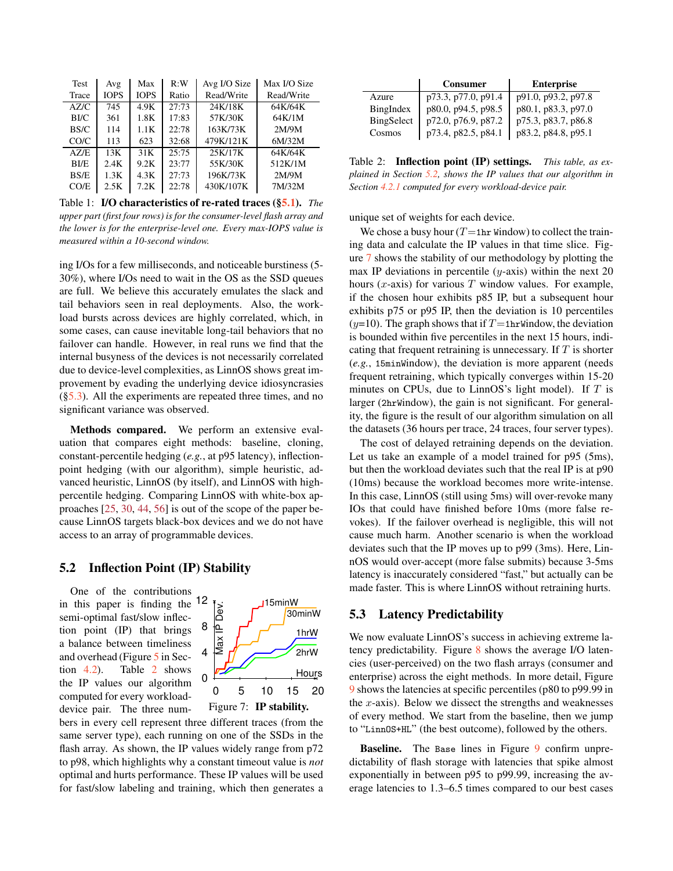| <b>Test</b> | Avg         | Max         | R:W   | Avg I/O Size | Max I/O Size |
|-------------|-------------|-------------|-------|--------------|--------------|
| Trace       | <b>TOPS</b> | <b>IOPS</b> | Ratio | Read/Write   | Read/Write   |
| AZ/C        | 745         | 4.9K        | 27:73 | 24K/18K      | 64K/64K      |
| BI/C        | 361         | 1.8K        | 17:83 | 57K/30K      | 64K/1M       |
| BS/C        | 114         | 1.1K        | 22:78 | 163K/73K     | 2M/9M        |
| CO/C        | 113         | 623         | 32:68 | 479K/121K    | 6M/32M       |
| AZ/E        | 13K         | 31K         | 25:75 | 25K/17K      | 64K/64K      |
| BI/E        | 2.4K        | 9.2K        | 23:77 | 55K/30K      | 512K/1M      |
| BS/E        | 1.3K        | 4.3K        | 27:73 | 196K/73K     | 2M/9M        |
| CO/E        | 2.5K        | 7.2K        | 22:78 | 430K/107K    | 7M/32M       |

<span id="page-9-2"></span>Table 1: I/O characteristics of re-rated traces ([§5.1\)](#page-8-1). *The upper part (first four rows) is for the consumer-level flash array and the lower is for the enterprise-level one. Every max-IOPS value is measured within a 10-second window.*

ing I/Os for a few milliseconds, and noticeable burstiness (5- 30%), where I/Os need to wait in the OS as the SSD queues are full. We believe this accurately emulates the slack and tail behaviors seen in real deployments. Also, the workload bursts across devices are highly correlated, which, in some cases, can cause inevitable long-tail behaviors that no failover can handle. However, in real runs we find that the internal busyness of the devices is not necessarily correlated due to device-level complexities, as LinnOS shows great improvement by evading the underlying device idiosyncrasies  $(\S5.3)$ . All the experiments are repeated three times, and no significant variance was observed.

Methods compared. We perform an extensive evaluation that compares eight methods: baseline, cloning, constant-percentile hedging (*e.g.*, at p95 latency), inflectionpoint hedging (with our algorithm), simple heuristic, advanced heuristic, LinnOS (by itself), and LinnOS with highpercentile hedging. Comparing LinnOS with white-box approaches [\[25](#page-14-3), [30](#page-15-1), [44](#page-15-20), [56](#page-16-21)] is out of the scope of the paper because LinnOS targets black-box devices and we do not have access to an array of programmable devices.

#### <span id="page-9-1"></span>5.2 Inflection Point (IP) Stability

One of the contributions in this paper is finding the  $12$ semi-optimal fast/slow inflection point (IP) that brings a balance between timeliness and overhead (Figure [5](#page-4-3) in Section [4.2\)](#page-4-2). Table [2](#page-9-3) shows the IP values our algorithm computed for every workloaddevice pair. The three num-



bers in every cell represent three different traces (from the same server type), each running on one of the SSDs in the flash array. As shown, the IP values widely range from  $p72$ to p98, which highlights why a constant timeout value is *not* optimal and hurts performance. These IP values will be used for fast/slow labeling and training, which then generates a

|            | <b>Consumer</b>     | <b>Enterprise</b>   |
|------------|---------------------|---------------------|
| Azure      | p73.3, p77.0, p91.4 | p91.0, p93.2, p97.8 |
| BingIndex  | p80.0, p94.5, p98.5 | p80.1, p83.3, p97.0 |
| BingSelect | p72.0, p76.9, p87.2 | p75.3, p83.7, p86.8 |
| Cosmos     | p73.4, p82.5, p84.1 | p83.2, p84.8, p95.1 |

<span id="page-9-3"></span>Table 2: Inflection point (IP) settings. *This table, as explained in Section [5.2,](#page-9-1) shows the IP values that our algorithm in Section [4.2.1](#page-5-1) computed for every workload-device pair.*

unique set of weights for each device.

We chose a busy hour  $(T=1hr$  Window) to collect the training data and calculate the IP values in that time slice. Figure [7](#page-9-4) shows the stability of our methodology by plotting the max IP deviations in percentile  $(y\text{-axis})$  within the next 20 hours (*x*-axis) for various  $T$  window values. For example, if the chosen hour exhibits p85 IP, but a subsequent hour exhibits p75 or p95 IP, then the deviation is 10 percentiles  $(y=10)$ . The graph shows that if  $T=1$ hrWindow, the deviation is bounded within five percentiles in the next 15 hours, indicating that frequent retraining is unnecessary. If  $T$  is shorter (*e.g.*, 15minWindow), the deviation is more apparent (needs frequent retraining, which typically converges within 15-20 minutes on CPUs, due to LinnOS's light model). If  $T$  is larger (2hrWindow), the gain is not significant. For generality, the figure is the result of our algorithm simulation on all the datasets (36 hours per trace, 24 traces, four server types).

The cost of delayed retraining depends on the deviation. Let us take an example of a model trained for  $p95$  (5ms), but then the workload deviates such that the real IP is at p90 (10ms) because the workload becomes more write-intense. In this case, LinnOS (still using 5ms) will over-revoke many IOs that could have finished before 10ms (more false revokes). If the failover overhead is negligible, this will not cause much harm. Another scenario is when the workload deviates such that the IP moves up to p99 (3ms). Here, LinnOS would over-accept (more false submits) because 3-5ms latency is inaccurately considered "fast," but actually can be made faster. This is where LinnOS without retraining hurts.

#### <span id="page-9-0"></span>5.3 Latency Predictability

We now evaluate LinnOS's success in achieving extreme latency predictability. Figure  $\frac{8}{3}$  $\frac{8}{3}$  $\frac{8}{3}$  shows the average I/O latencies (user-perceived) on the two flash arrays (consumer and enterprise) across the eight methods. In more detail, Figure [9](#page-10-1) shows the latencies at specific percentiles (p80 to p99.99 in the  $x$ -axis). Below we dissect the strengths and weaknesses of every method. We start from the baseline, then we jump to "LinnOS+HL" (the best outcome), followed by the others.

<span id="page-9-4"></span>**Baseline.** The Base lines in Figure [9](#page-10-1) confirm unpredictability of flash storage with latencies that spike almost exponentially in between p95 to p99.99, increasing the average latencies to 1.3–6.5 times compared to our best cases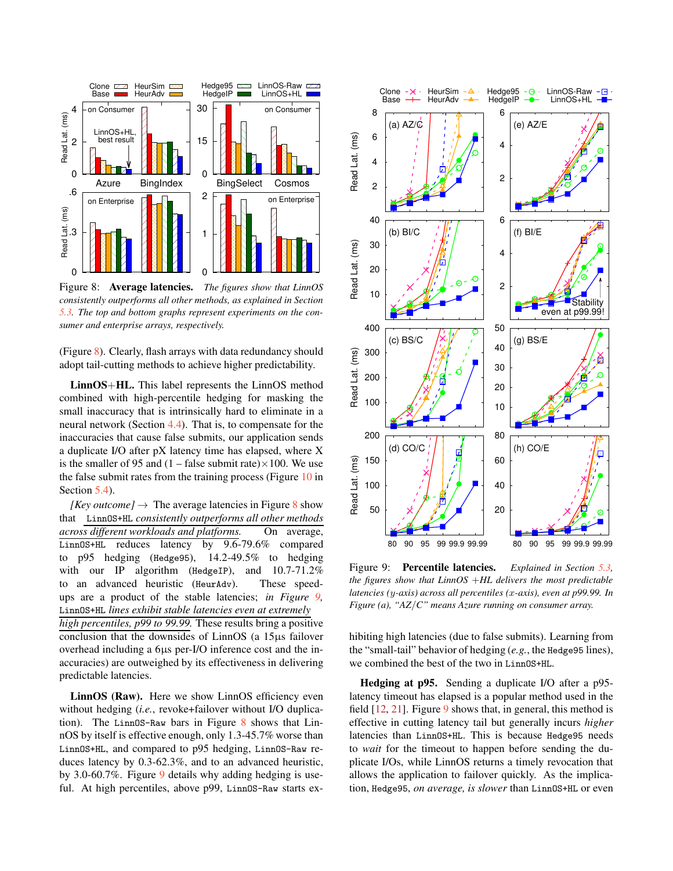

<span id="page-10-0"></span>Figure 8: Average latencies. *The figures show that LinnOS consistently outperforms all other methods, as explained in Section [5.3.](#page-9-0) The top and bottom graphs represent experiments on the consumer and enterprise arrays, respectively.*

(Figure [8\)](#page-10-0). Clearly, flash arrays with data redundancy should adopt tail-cutting methods to achieve higher predictability.

LinnOS+HL. This label represents the LinnOS method combined with high-percentile hedging for masking the small inaccuracy that is intrinsically hard to eliminate in a neural network (Section [4.4\)](#page-6-0). That is, to compensate for the inaccuracies that cause false submits, our application sends a duplicate I/O after pX latency time has elapsed, where X is the smaller of 95 and  $(1 - false$  submit rate) $\times 100$ . We use the false submit rates from the training process (Figure [10](#page-11-1) in Section [5.4\)](#page-11-0).

*[Key outcome]*  $\rightarrow$  The average latencies in Figure [8](#page-10-0) show that LinnOS+HL *consistently outperforms all other methods across different workloads and platforms.* On average, LinnOS+HL reduces latency by 9.6-79.6% compared to p95 hedging (Hedge95), 14.2-49.5% to hedging with our IP algorithm (HedgeIP), and 10.7-71.2% to an advanced heuristic (HeurAdv). These speedups are a product of the stable latencies; *in Figure [9,](#page-10-1)* LinnOS+HL *lines exhibit stable latencies even at extremely high percentiles, p99 to 99.99.* These results bring a positive conclusion that the downsides of LinnOS (a 15µs failover overhead including a 6µs per-I/O inference cost and the in-

accuracies) are outweighed by its effectiveness in delivering predictable latencies.

LinnOS (Raw). Here we show LinnOS efficiency even without hedging (*i.e.*, revoke+failover without I/O duplication). The LinnOS-Raw bars in Figure  $8$  shows that LinnOS by itself is effective enough, only 1.3-45.7% worse than LinnOS+HL, and compared to p95 hedging, LinnOS-Raw reduces latency by 0.3-62.3%, and to an advanced heuristic, by 3.0-60.7%. Figure [9](#page-10-1) details why adding hedging is useful. At high percentiles, above p99, LinnOS-Raw starts ex-



<span id="page-10-1"></span>Figure 9: Percentile latencies. *Explained in Section [5.3,](#page-9-0) the figures show that LinnOS* +*HL delivers the most predictable latencies (*y*-axis) across all percentiles (*x*-axis), even at p99.99. In Figure (a), "AZ*/*C" means Azure running on consumer array.*

hibiting high latencies (due to false submits). Learning from the "small-tail" behavior of hedging (*e.g.*, the Hedge95 lines), we combined the best of the two in LinnOS+HL.

Hedging at p95. Sending a duplicate I/O after a p95 latency timeout has elapsed is a popular method used in the field  $[12, 21]$  $[12, 21]$  $[12, 21]$ . Figure [9](#page-10-1) shows that, in general, this method is effective in cutting latency tail but generally incurs *higher* latencies than LinnOS+HL. This is because Hedge95 needs to *wait* for the timeout to happen before sending the duplicate I/Os, while LinnOS returns a timely revocation that allows the application to failover quickly. As the implication, Hedge95, *on average, is slower* than LinnOS+HL or even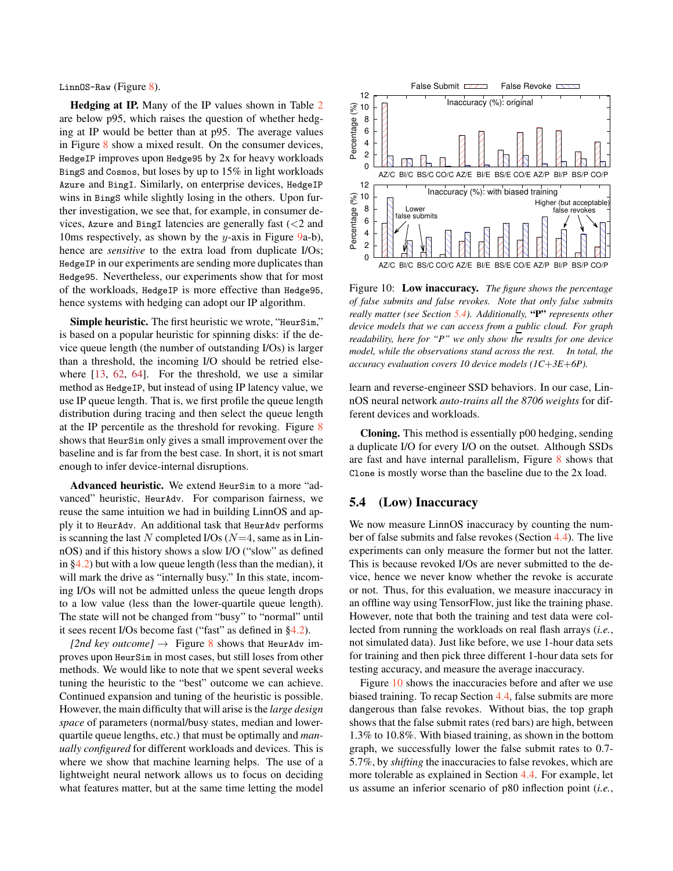Linn0S-Raw (Figure [8\)](#page-10-0).

Hedging at IP. Many of the IP values shown in Table [2](#page-9-3) are below p95, which raises the question of whether hedging at IP would be better than at p95. The average values in Figure [8](#page-10-0) show a mixed result. On the consumer devices, HedgeIP improves upon Hedge95 by 2x for heavy workloads BingS and Cosmos, but loses by up to 15% in light workloads Azure and BingI. Similarly, on enterprise devices, HedgeIP wins in BingS while slightly losing in the others. Upon further investigation, we see that, for example, in consumer devices, Azure and BingI latencies are generally fast (<2 and 10ms respectively, as shown by the y-axis in Figure  $9a-b$  $9a-b$ ), hence are *sensitive* to the extra load from duplicate I/Os; HedgeIP in our experiments are sending more duplicates than Hedge95. Nevertheless, our experiments show that for most of the workloads, HedgeIP is more effective than Hedge95, hence systems with hedging can adopt our IP algorithm.

Simple heuristic. The first heuristic we wrote, "HeurSim," is based on a popular heuristic for spinning disks: if the device queue length (the number of outstanding I/Os) is larger than a threshold, the incoming I/O should be retried elsewhere [\[13](#page-14-13), [62,](#page-16-13) [64\]](#page-16-14). For the threshold, we use a similar method as HedgeIP, but instead of using IP latency value, we use IP queue length. That is, we first profile the queue length distribution during tracing and then select the queue length at the IP percentile as the threshold for revoking. Figure [8](#page-10-0) shows that HeurSim only gives a small improvement over the baseline and is far from the best case. In short, it is not smart enough to infer device-internal disruptions.

Advanced heuristic. We extend HeurSim to a more "advanced" heuristic, HeurAdv. For comparison fairness, we reuse the same intuition we had in building LinnOS and apply it to HeurAdv. An additional task that HeurAdv performs is scanning the last N completed I/Os ( $N=4$ , same as in LinnOS) and if this history shows a slow I/O ("slow" as defined in [§4.2\)](#page-4-2) but with a low queue length (less than the median), it will mark the drive as "internally busy." In this state, incoming I/Os will not be admitted unless the queue length drops to a low value (less than the lower-quartile queue length). The state will not be changed from "busy" to "normal" until it sees recent I/Os become fast ("fast" as defined in [§4.2\)](#page-4-2).

*[2nd key outcome]*  $\rightarrow$  Figure [8](#page-10-0) shows that HeurAdv improves upon HeurSim in most cases, but still loses from other methods. We would like to note that we spent several weeks tuning the heuristic to the "best" outcome we can achieve. Continued expansion and tuning of the heuristic is possible. However, the main difficulty that will arise is the *large design space* of parameters (normal/busy states, median and lowerquartile queue lengths, etc.) that must be optimally and *manually configured* for different workloads and devices. This is where we show that machine learning helps. The use of a lightweight neural network allows us to focus on deciding what features matter, but at the same time letting the model



<span id="page-11-1"></span>Figure 10: Low inaccuracy. *The figure shows the percentage of false submits and false revokes. Note that only false submits really matter (see Section [5.4\)](#page-11-0). Additionally,* "P" *represents other device models that we can access from a public cloud. For graph readability, here for "P" we only show the results for one device model, while the observations stand across the rest. In total, the accuracy evaluation covers 10 device models (1C*+*3E*+*6P).*

learn and reverse-engineer SSD behaviors. In our case, LinnOS neural network *auto-trains all the 8706 weights* for different devices and workloads.

Cloning. This method is essentially p00 hedging, sending a duplicate I/O for every I/O on the outset. Although SSDs are fast and have internal parallelism, Figure [8](#page-10-0) shows that Clone is mostly worse than the baseline due to the 2x load.

#### <span id="page-11-0"></span>5.4 (Low) Inaccuracy

We now measure LinnOS inaccuracy by counting the number of false submits and false revokes (Section [4.4\)](#page-6-0). The live experiments can only measure the former but not the latter. This is because revoked I/Os are never submitted to the device, hence we never know whether the revoke is accurate or not. Thus, for this evaluation, we measure inaccuracy in an offline way using TensorFlow, just like the training phase. However, note that both the training and test data were collected from running the workloads on real flash arrays (*i.e.*, not simulated data). Just like before, we use 1-hour data sets for training and then pick three different 1-hour data sets for testing accuracy, and measure the average inaccuracy.

Figure [10](#page-11-1) shows the inaccuracies before and after we use biased training. To recap Section [4.4,](#page-6-0) false submits are more dangerous than false revokes. Without bias, the top graph shows that the false submit rates (red bars) are high, between 1.3% to 10.8%. With biased training, as shown in the bottom graph, we successfully lower the false submit rates to 0.7- 5.7%, by *shifting* the inaccuracies to false revokes, which are more tolerable as explained in Section [4.4.](#page-6-0) For example, let us assume an inferior scenario of p80 inflection point (*i.e.*,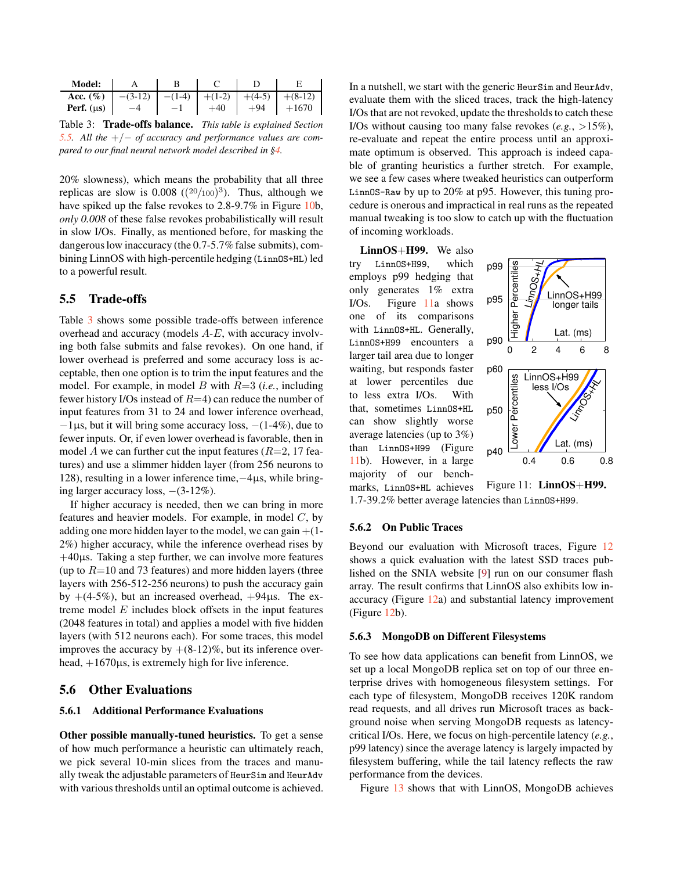| Model:          |           |          |          |          |           |
|-----------------|-----------|----------|----------|----------|-----------|
| Acc. $(\% )$    | $-(3-12)$ | $-(1-4)$ | $+(1-2)$ | $+(4-5)$ | $+(8-12)$ |
| Perf. $(\mu s)$ |           |          | +40      | $+94$    | $+1670$   |

<span id="page-12-2"></span>Table 3: Trade-offs balance. *This table is explained Section [5.5.](#page-12-0) All the* +/− *of accuracy and performance values are compared to our final neural network model described in [§4.](#page-4-0)*

20% slowness), which means the probability that all three replicas are slow is  $0.008 ((20/100)^3)$ . Thus, although we have spiked up the false revokes to 2.8-9.7% in Figure [10b](#page-11-1), *only 0.008* of these false revokes probabilistically will result in slow I/Os. Finally, as mentioned before, for masking the dangerous low inaccuracy (the 0.7-5.7% false submits), combining LinnOS with high-percentile hedging (LinnOS+HL) led to a powerful result.

#### <span id="page-12-0"></span>5.5 Trade-offs

Table [3](#page-12-2) shows some possible trade-offs between inference overhead and accuracy (models A-E, with accuracy involving both false submits and false revokes). On one hand, if lower overhead is preferred and some accuracy loss is acceptable, then one option is to trim the input features and the model. For example, in model B with R=3 (*i.e.*, including fewer history I/Os instead of  $R=4$ ) can reduce the number of input features from 31 to 24 and lower inference overhead,  $-1\mu s$ , but it will bring some accuracy loss,  $-(1-4\%)$ , due to fewer inputs. Or, if even lower overhead is favorable, then in model A we can further cut the input features  $(R=2, 17$  features) and use a slimmer hidden layer (from 256 neurons to 128), resulting in a lower inference time,−4µs, while bringing larger accuracy loss, −(3-12%).

If higher accuracy is needed, then we can bring in more features and heavier models. For example, in model  $C$ , by adding one more hidden layer to the model, we can gain  $+(1-$ 2%) higher accuracy, while the inference overhead rises by  $+40\mu s$ . Taking a step further, we can involve more features (up to  $R=10$  and 73 features) and more hidden layers (three layers with 256-512-256 neurons) to push the accuracy gain by  $+(4-5\%)$ , but an increased overhead,  $+94\mu s$ . The extreme model  $E$  includes block offsets in the input features (2048 features in total) and applies a model with five hidden layers (with 512 neurons each). For some traces, this model improves the accuracy by  $+(8-12)\%$ , but its inference overhead,  $+1670\mu s$ , is extremely high for live inference.

#### <span id="page-12-1"></span>5.6 Other Evaluations

#### 5.6.1 Additional Performance Evaluations

Other possible manually-tuned heuristics. To get a sense of how much performance a heuristic can ultimately reach, we pick several 10-min slices from the traces and manually tweak the adjustable parameters of HeurSim and HeurAdv with various thresholds until an optimal outcome is achieved. In a nutshell, we start with the generic HeurSim and HeurAdv, evaluate them with the sliced traces, track the high-latency I/Os that are not revoked, update the thresholds to catch these I/Os without causing too many false revokes (*e.g.*, >15%), re-evaluate and repeat the entire process until an approximate optimum is observed. This approach is indeed capable of granting heuristics a further stretch. For example, we see a few cases where tweaked heuristics can outperform LinnOS-Raw by up to 20% at p95. However, this tuning procedure is onerous and impractical in real runs as the repeated manual tweaking is too slow to catch up with the fluctuation of incoming workloads.

LinnOS+H99. We also try LinnOS+H99, which employs p99 hedging that only generates 1% extra I/Os. Figure [11a](#page-12-3) shows one of its comparisons with LinnOS+HL. Generally, LinnOS+H99 encounters a larger tail area due to longer waiting, but responds faster at lower percentiles due to less extra I/Os. With that, sometimes LinnOS+HL can show slightly worse average latencies (up to 3%) than LinnOS+H99 (Figure [11b](#page-12-3)). However, in a large majority of our benchmarks, LinnOS+HL achieves



<span id="page-12-3"></span>Figure 11: **LinnOS+H99.** 1.7-39.2% better average latencies than LinnOS+H99.

#### <span id="page-12-4"></span>5.6.2 On Public Traces

Beyond our evaluation with Microsoft traces, Figure [12](#page-13-0) shows a quick evaluation with the latest SSD traces published on the SNIA website [\[9](#page-14-24)] run on our consumer flash array. The result confirms that LinnOS also exhibits low inaccuracy (Figure [12a](#page-13-0)) and substantial latency improvement (Figure [12b](#page-13-0)).

#### <span id="page-12-5"></span>5.6.3 MongoDB on Different Filesystems

To see how data applications can benefit from LinnOS, we set up a local MongoDB replica set on top of our three enterprise drives with homogeneous filesystem settings. For each type of filesystem, MongoDB receives 120K random read requests, and all drives run Microsoft traces as background noise when serving MongoDB requests as latencycritical I/Os. Here, we focus on high-percentile latency (*e.g.*, p99 latency) since the average latency is largely impacted by filesystem buffering, while the tail latency reflects the raw performance from the devices.

Figure [13](#page-13-1) shows that with LinnOS, MongoDB achieves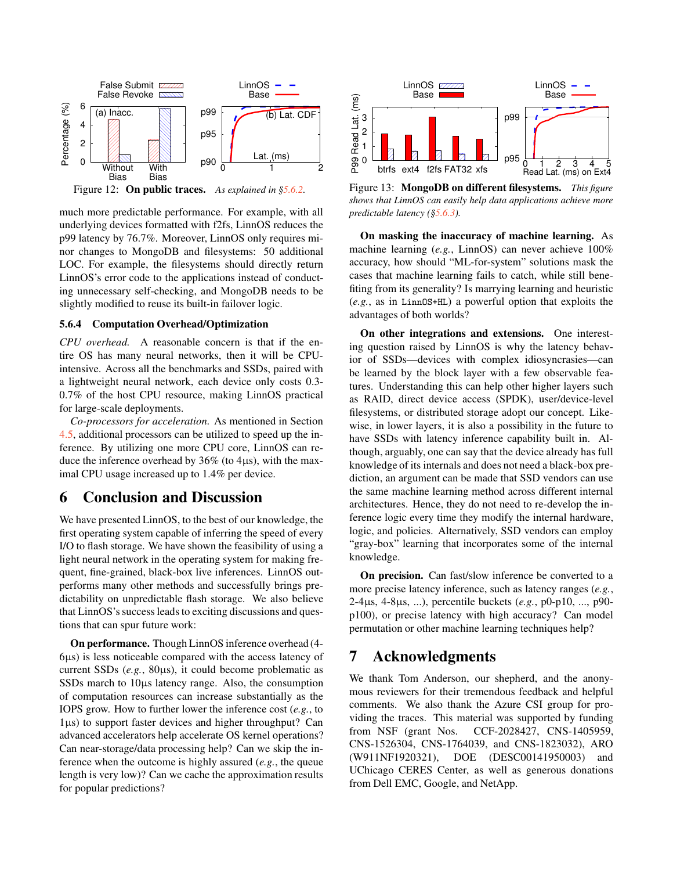

<span id="page-13-0"></span>Figure 12: On public traces. *As explained in [§5.6.2.](#page-12-4)*

much more predictable performance. For example, with all underlying devices formatted with f2fs, LinnOS reduces the p99 latency by 76.7%. Moreover, LinnOS only requires minor changes to MongoDB and filesystems: 50 additional LOC. For example, the filesystems should directly return LinnOS's error code to the applications instead of conducting unnecessary self-checking, and MongoDB needs to be slightly modified to reuse its built-in failover logic.

#### 5.6.4 Computation Overhead/Optimization

*CPU overhead.* A reasonable concern is that if the entire OS has many neural networks, then it will be CPUintensive. Across all the benchmarks and SSDs, paired with a lightweight neural network, each device only costs 0.3- 0.7% of the host CPU resource, making LinnOS practical for large-scale deployments.

*Co-processors for acceleration.* As mentioned in Section [4.5,](#page-7-0) additional processors can be utilized to speed up the inference. By utilizing one more CPU core, LinnOS can reduce the inference overhead by  $36\%$  (to  $4\mu s$ ), with the maximal CPU usage increased up to 1.4% per device.

# 6 Conclusion and Discussion

We have presented LinnOS, to the best of our knowledge, the first operating system capable of inferring the speed of every I/O to flash storage. We have shown the feasibility of using a light neural network in the operating system for making frequent, fine-grained, black-box live inferences. LinnOS outperforms many other methods and successfully brings predictability on unpredictable flash storage. We also believe that LinnOS's success leads to exciting discussions and questions that can spur future work:

On performance. Though LinnOS inference overhead (4- 6µs) is less noticeable compared with the access latency of current SSDs (*e.g.*, 80µs), it could become problematic as SSDs march to 10µs latency range. Also, the consumption of computation resources can increase substantially as the IOPS grow. How to further lower the inference cost (*e.g.*, to 1µs) to support faster devices and higher throughput? Can advanced accelerators help accelerate OS kernel operations? Can near-storage/data processing help? Can we skip the inference when the outcome is highly assured (*e.g.*, the queue length is very low)? Can we cache the approximation results for popular predictions?



<span id="page-13-1"></span>Figure 13: MongoDB on different filesystems. *This figure shows that LinnOS can easily help data applications achieve more predictable latency ([§5.6.3\)](#page-12-5).*

On masking the inaccuracy of machine learning. As machine learning (*e.g.*, LinnOS) can never achieve 100% accuracy, how should "ML-for-system" solutions mask the cases that machine learning fails to catch, while still benefiting from its generality? Is marrying learning and heuristic (*e.g.*, as in LinnOS+HL) a powerful option that exploits the advantages of both worlds?

On other integrations and extensions. One interesting question raised by LinnOS is why the latency behavior of SSDs—devices with complex idiosyncrasies—can be learned by the block layer with a few observable features. Understanding this can help other higher layers such as RAID, direct device access (SPDK), user/device-level filesystems, or distributed storage adopt our concept. Likewise, in lower layers, it is also a possibility in the future to have SSDs with latency inference capability built in. Although, arguably, one can say that the device already has full knowledge of its internals and does not need a black-box prediction, an argument can be made that SSD vendors can use the same machine learning method across different internal architectures. Hence, they do not need to re-develop the inference logic every time they modify the internal hardware, logic, and policies. Alternatively, SSD vendors can employ "gray-box" learning that incorporates some of the internal knowledge.

On precision. Can fast/slow inference be converted to a more precise latency inference, such as latency ranges (*e.g.*, 2-4µs, 4-8µs, ...), percentile buckets (*e.g.*, p0-p10, ..., p90 p100), or precise latency with high accuracy? Can model permutation or other machine learning techniques help?

# 7 Acknowledgments

We thank Tom Anderson, our shepherd, and the anonymous reviewers for their tremendous feedback and helpful comments. We also thank the Azure CSI group for providing the traces. This material was supported by funding from NSF (grant Nos. CCF-2028427, CNS-1405959, CNS-1526304, CNS-1764039, and CNS-1823032), ARO (W911NF1920321), DOE (DESC00141950003) and UChicago CERES Center, as well as generous donations from Dell EMC, Google, and NetApp.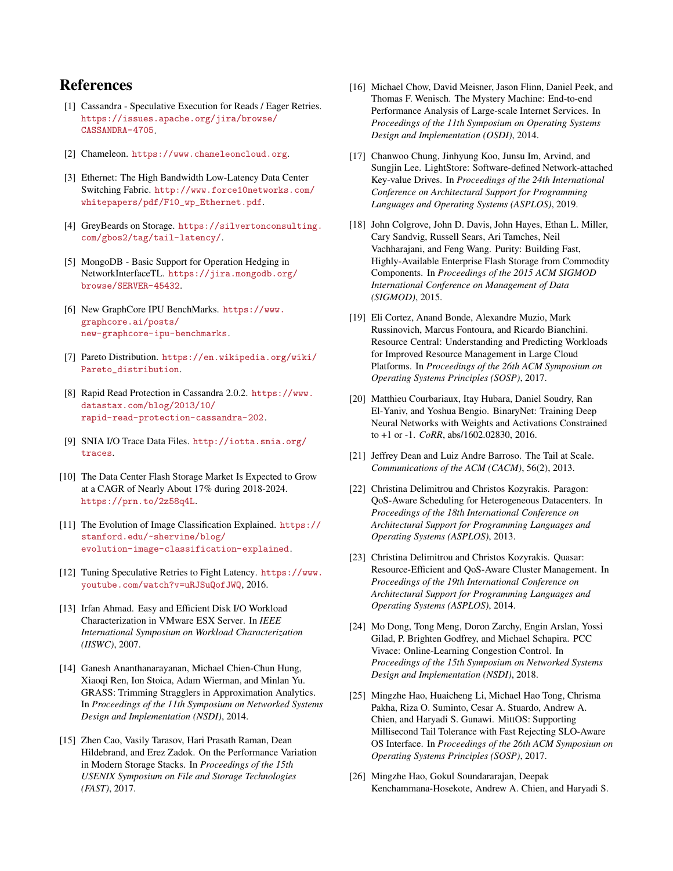# References

- <span id="page-14-7"></span>[1] Cassandra - Speculative Execution for Reads / Eager Retries. [https://issues.apache.org/jira/browse/](https://issues.apache.org/jira/browse/CASSANDRA-4705) [CASSANDRA-4705](https://issues.apache.org/jira/browse/CASSANDRA-4705).
- <span id="page-14-25"></span>[2] Chameleon. <https://www.chameleoncloud.org>.
- <span id="page-14-18"></span>[3] Ethernet: The High Bandwidth Low-Latency Data Center Switching Fabric. [http://www.force10networks.com/](http://www.force10networks.com/whitepapers/pdf/F10_wp_Ethernet.pdf) [whitepapers/pdf/F10\\_wp\\_Ethernet.pdf](http://www.force10networks.com/whitepapers/pdf/F10_wp_Ethernet.pdf).
- <span id="page-14-4"></span>[4] GreyBeards on Storage. [https://silvertonconsulting.](https://silvertonconsulting.com/gbos2/tag/tail-latency/) [com/gbos2/tag/tail-latency/](https://silvertonconsulting.com/gbos2/tag/tail-latency/).
- <span id="page-14-8"></span>[5] MongoDB - Basic Support for Operation Hedging in NetworkInterfaceTL. [https://jira.mongodb.org/](https://jira.mongodb.org/browse/SERVER-45432) [browse/SERVER-45432](https://jira.mongodb.org/browse/SERVER-45432).
- <span id="page-14-21"></span>[6] New GraphCore IPU BenchMarks. [https://www.](https://www.graphcore.ai/posts/new-graphcore-ipu-benchmarks) [graphcore.ai/posts/](https://www.graphcore.ai/posts/new-graphcore-ipu-benchmarks) [new-graphcore-ipu-benchmarks](https://www.graphcore.ai/posts/new-graphcore-ipu-benchmarks).
- <span id="page-14-17"></span>[7] Pareto Distribution. [https://en.wikipedia.org/wiki/](https://en.wikipedia.org/wiki/Pareto_distribution) [Pareto\\_distribution](https://en.wikipedia.org/wiki/Pareto_distribution).
- <span id="page-14-10"></span>[8] Rapid Read Protection in Cassandra 2.0.2. [https://www.](https://www.datastax.com/blog/2013/10/rapid-read-protection-cassandra-202) [datastax.com/blog/2013/10/](https://www.datastax.com/blog/2013/10/rapid-read-protection-cassandra-202) [rapid-read-protection-cassandra-202](https://www.datastax.com/blog/2013/10/rapid-read-protection-cassandra-202).
- <span id="page-14-24"></span>[9] SNIA I/O Trace Data Files. [http://iotta.snia.org/](http://iotta.snia.org/traces) [traces](http://iotta.snia.org/traces).
- <span id="page-14-1"></span>[10] The Data Center Flash Storage Market Is Expected to Grow at a CAGR of Nearly About 17% during 2018-2024. <https://prn.to/2z58q4L>.
- <span id="page-14-19"></span>[11] The Evolution of Image Classification Explained. [https://](https://stanford.edu/~shervine/blog/evolution-image-classification-explained) [stanford.edu/~shervine/blog/](https://stanford.edu/~shervine/blog/evolution-image-classification-explained) [evolution-image-classification-explained](https://stanford.edu/~shervine/blog/evolution-image-classification-explained).
- <span id="page-14-23"></span>[12] Tuning Speculative Retries to Fight Latency. [https://www.](https://www.youtube.com/watch?v=uRJSuQofJWQ) [youtube.com/watch?v=uRJSuQofJWQ](https://www.youtube.com/watch?v=uRJSuQofJWQ), 2016.
- <span id="page-14-13"></span>[13] Irfan Ahmad. Easy and Efficient Disk I/O Workload Characterization in VMware ESX Server. In *IEEE International Symposium on Workload Characterization (IISWC)*, 2007.
- <span id="page-14-22"></span>[14] Ganesh Ananthanarayanan, Michael Chien-Chun Hung, Xiaoqi Ren, Ion Stoica, Adam Wierman, and Minlan Yu. GRASS: Trimming Stragglers in Approximation Analytics. In *Proceedings of the 11th Symposium on Networked Systems Design and Implementation (NSDI)*, 2014.
- <span id="page-14-2"></span>[15] Zhen Cao, Vasily Tarasov, Hari Prasath Raman, Dean Hildebrand, and Erez Zadok. On the Performance Variation in Modern Storage Stacks. In *Proceedings of the 15th USENIX Symposium on File and Storage Technologies (FAST)*, 2017.
- <span id="page-14-11"></span>[16] Michael Chow, David Meisner, Jason Flinn, Daniel Peek, and Thomas F. Wenisch. The Mystery Machine: End-to-end Performance Analysis of Large-scale Internet Services. In *Proceedings of the 11th Symposium on Operating Systems Design and Implementation (OSDI)*, 2014.
- <span id="page-14-5"></span>[17] Chanwoo Chung, Jinhyung Koo, Junsu Im, Arvind, and Sungjin Lee. LightStore: Software-defined Network-attached Key-value Drives. In *Proceedings of the 24th International Conference on Architectural Support for Programming Languages and Operating Systems (ASPLOS)*, 2019.
- <span id="page-14-6"></span>[18] John Colgrove, John D. Davis, John Hayes, Ethan L. Miller, Cary Sandvig, Russell Sears, Ari Tamches, Neil Vachharajani, and Feng Wang. Purity: Building Fast, Highly-Available Enterprise Flash Storage from Commodity Components. In *Proceedings of the 2015 ACM SIGMOD International Conference on Management of Data (SIGMOD)*, 2015.
- <span id="page-14-0"></span>[19] Eli Cortez, Anand Bonde, Alexandre Muzio, Mark Russinovich, Marcus Fontoura, and Ricardo Bianchini. Resource Central: Understanding and Predicting Workloads for Improved Resource Management in Large Cloud Platforms. In *Proceedings of the 26th ACM Symposium on Operating Systems Principles (SOSP)*, 2017.
- <span id="page-14-20"></span>[20] Matthieu Courbariaux, Itay Hubara, Daniel Soudry, Ran El-Yaniv, and Yoshua Bengio. BinaryNet: Training Deep Neural Networks with Weights and Activations Constrained to +1 or -1. *CoRR*, abs/1602.02830, 2016.
- <span id="page-14-9"></span>[21] Jeffrey Dean and Luiz Andre Barroso. The Tail at Scale. *Communications of the ACM (CACM)*, 56(2), 2013.
- <span id="page-14-14"></span>[22] Christina Delimitrou and Christos Kozyrakis. Paragon: QoS-Aware Scheduling for Heterogeneous Datacenters. In *Proceedings of the 18th International Conference on Architectural Support for Programming Languages and Operating Systems (ASPLOS)*, 2013.
- <span id="page-14-15"></span>[23] Christina Delimitrou and Christos Kozyrakis. Quasar: Resource-Efficient and QoS-Aware Cluster Management. In *Proceedings of the 19th International Conference on Architectural Support for Programming Languages and Operating Systems (ASPLOS)*, 2014.
- <span id="page-14-16"></span>[24] Mo Dong, Tong Meng, Doron Zarchy, Engin Arslan, Yossi Gilad, P. Brighten Godfrey, and Michael Schapira. PCC Vivace: Online-Learning Congestion Control. In *Proceedings of the 15th Symposium on Networked Systems Design and Implementation (NSDI)*, 2018.
- <span id="page-14-3"></span>[25] Mingzhe Hao, Huaicheng Li, Michael Hao Tong, Chrisma Pakha, Riza O. Suminto, Cesar A. Stuardo, Andrew A. Chien, and Haryadi S. Gunawi. MittOS: Supporting Millisecond Tail Tolerance with Fast Rejecting SLO-Aware OS Interface. In *Proceedings of the 26th ACM Symposium on Operating Systems Principles (SOSP)*, 2017.
- <span id="page-14-12"></span>[26] Mingzhe Hao, Gokul Soundararajan, Deepak Kenchammana-Hosekote, Andrew A. Chien, and Haryadi S.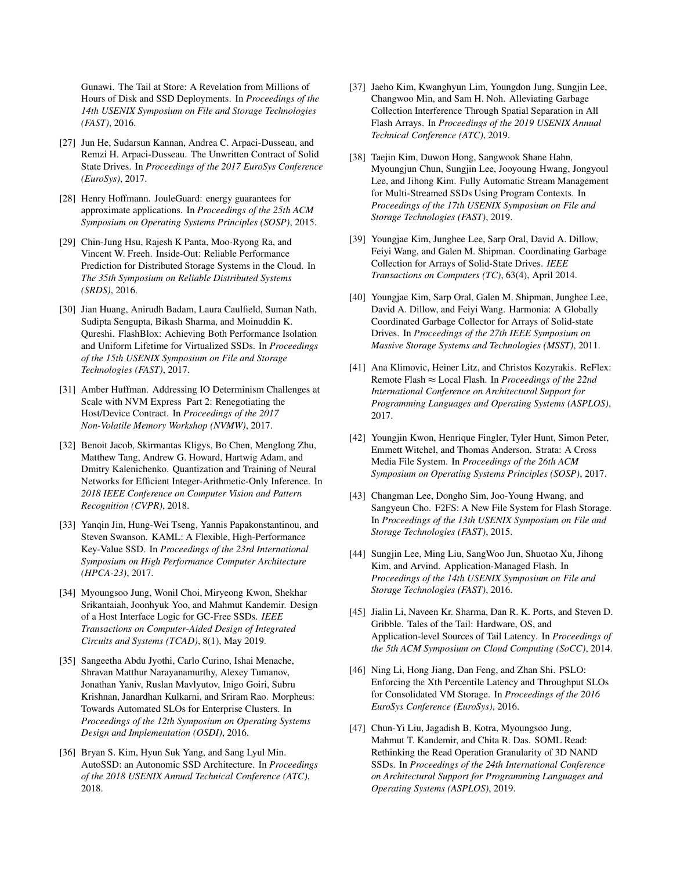Gunawi. The Tail at Store: A Revelation from Millions of Hours of Disk and SSD Deployments. In *Proceedings of the 14th USENIX Symposium on File and Storage Technologies (FAST)*, 2016.

- <span id="page-15-0"></span>[27] Jun He, Sudarsun Kannan, Andrea C. Arpaci-Dusseau, and Remzi H. Arpaci-Dusseau. The Unwritten Contract of Solid State Drives. In *Proceedings of the 2017 EuroSys Conference (EuroSys)*, 2017.
- <span id="page-15-15"></span>[28] Henry Hoffmann. JouleGuard: energy guarantees for approximate applications. In *Proceedings of the 25th ACM Symposium on Operating Systems Principles (SOSP)*, 2015.
- <span id="page-15-16"></span>[29] Chin-Jung Hsu, Rajesh K Panta, Moo-Ryong Ra, and Vincent W. Freeh. Inside-Out: Reliable Performance Prediction for Distributed Storage Systems in the Cloud. In *The 35th Symposium on Reliable Distributed Systems (SRDS)*, 2016.
- <span id="page-15-1"></span>[30] Jian Huang, Anirudh Badam, Laura Caulfield, Suman Nath, Sudipta Sengupta, Bikash Sharma, and Moinuddin K. Qureshi. FlashBlox: Achieving Both Performance Isolation and Uniform Lifetime for Virtualized SSDs. In *Proceedings of the 15th USENIX Symposium on File and Storage Technologies (FAST)*, 2017.
- <span id="page-15-2"></span>[31] Amber Huffman. Addressing IO Determinism Challenges at Scale with NVM Express Part 2: Renegotiating the Host/Device Contract. In *Proceedings of the 2017 Non-Volatile Memory Workshop (NVMW)*, 2017.
- <span id="page-15-17"></span>[32] Benoit Jacob, Skirmantas Kligys, Bo Chen, Menglong Zhu, Matthew Tang, Andrew G. Howard, Hartwig Adam, and Dmitry Kalenichenko. Quantization and Training of Neural Networks for Efficient Integer-Arithmetic-Only Inference. In *2018 IEEE Conference on Computer Vision and Pattern Recognition (CVPR)*, 2018.
- <span id="page-15-3"></span>[33] Yanqin Jin, Hung-Wei Tseng, Yannis Papakonstantinou, and Steven Swanson. KAML: A Flexible, High-Performance Key-Value SSD. In *Proceedings of the 23rd International Symposium on High Performance Computer Architecture (HPCA-23)*, 2017.
- <span id="page-15-4"></span>[34] Myoungsoo Jung, Wonil Choi, Miryeong Kwon, Shekhar Srikantaiah, Joonhyuk Yoo, and Mahmut Kandemir. Design of a Host Interface Logic for GC-Free SSDs. *IEEE Transactions on Computer-Aided Design of Integrated Circuits and Systems (TCAD)*, 8(1), May 2019.
- <span id="page-15-18"></span>[35] Sangeetha Abdu Jyothi, Carlo Curino, Ishai Menache, Shravan Matthur Narayanamurthy, Alexey Tumanov, Jonathan Yaniv, Ruslan Mavlyutov, Inigo Goiri, Subru Krishnan, Janardhan Kulkarni, and Sriram Rao. Morpheus: Towards Automated SLOs for Enterprise Clusters. In *Proceedings of the 12th Symposium on Operating Systems Design and Implementation (OSDI)*, 2016.
- <span id="page-15-5"></span>[36] Bryan S. Kim, Hyun Suk Yang, and Sang Lyul Min. AutoSSD: an Autonomic SSD Architecture. In *Proceedings of the 2018 USENIX Annual Technical Conference (ATC)*, 2018.
- <span id="page-15-10"></span>[37] Jaeho Kim, Kwanghyun Lim, Youngdon Jung, Sungjin Lee, Changwoo Min, and Sam H. Noh. Alleviating Garbage Collection Interference Through Spatial Separation in All Flash Arrays. In *Proceedings of the 2019 USENIX Annual Technical Conference (ATC)*, 2019.
- <span id="page-15-7"></span>[38] Taejin Kim, Duwon Hong, Sangwook Shane Hahn, Myoungjun Chun, Sungjin Lee, Jooyoung Hwang, Jongyoul Lee, and Jihong Kim. Fully Automatic Stream Management for Multi-Streamed SSDs Using Program Contexts. In *Proceedings of the 17th USENIX Symposium on File and Storage Technologies (FAST)*, 2019.
- <span id="page-15-8"></span>[39] Youngjae Kim, Junghee Lee, Sarp Oral, David A. Dillow, Feiyi Wang, and Galen M. Shipman. Coordinating Garbage Collection for Arrays of Solid-State Drives. *IEEE Transactions on Computers (TC)*, 63(4), April 2014.
- <span id="page-15-9"></span>[40] Youngjae Kim, Sarp Oral, Galen M. Shipman, Junghee Lee, David A. Dillow, and Feiyi Wang. Harmonia: A Globally Coordinated Garbage Collector for Arrays of Solid-state Drives. In *Proceedings of the 27th IEEE Symposium on Massive Storage Systems and Technologies (MSST)*, 2011.
- <span id="page-15-11"></span>[41] Ana Klimovic, Heiner Litz, and Christos Kozyrakis. ReFlex: Remote Flash ≈ Local Flash. In *Proceedings of the 22nd International Conference on Architectural Support for Programming Languages and Operating Systems (ASPLOS)*, 2017.
- <span id="page-15-12"></span>[42] Youngjin Kwon, Henrique Fingler, Tyler Hunt, Simon Peter, Emmett Witchel, and Thomas Anderson. Strata: A Cross Media File System. In *Proceedings of the 26th ACM Symposium on Operating Systems Principles (SOSP)*, 2017.
- <span id="page-15-13"></span>[43] Changman Lee, Dongho Sim, Joo-Young Hwang, and Sangyeun Cho. F2FS: A New File System for Flash Storage. In *Proceedings of the 13th USENIX Symposium on File and Storage Technologies (FAST)*, 2015.
- <span id="page-15-20"></span>[44] Sungjin Lee, Ming Liu, SangWoo Jun, Shuotao Xu, Jihong Kim, and Arvind. Application-Managed Flash. In *Proceedings of the 14th USENIX Symposium on File and Storage Technologies (FAST)*, 2016.
- <span id="page-15-14"></span>[45] Jialin Li, Naveen Kr. Sharma, Dan R. K. Ports, and Steven D. Gribble. Tales of the Tail: Hardware, OS, and Application-level Sources of Tail Latency. In *Proceedings of the 5th ACM Symposium on Cloud Computing (SoCC)*, 2014.
- <span id="page-15-19"></span>[46] Ning Li, Hong Jiang, Dan Feng, and Zhan Shi. PSLO: Enforcing the Xth Percentile Latency and Throughput SLOs for Consolidated VM Storage. In *Proceedings of the 2016 EuroSys Conference (EuroSys)*, 2016.
- <span id="page-15-6"></span>[47] Chun-Yi Liu, Jagadish B. Kotra, Myoungsoo Jung, Mahmut T. Kandemir, and Chita R. Das. SOML Read: Rethinking the Read Operation Granularity of 3D NAND SSDs. In *Proceedings of the 24th International Conference on Architectural Support for Programming Languages and Operating Systems (ASPLOS)*, 2019.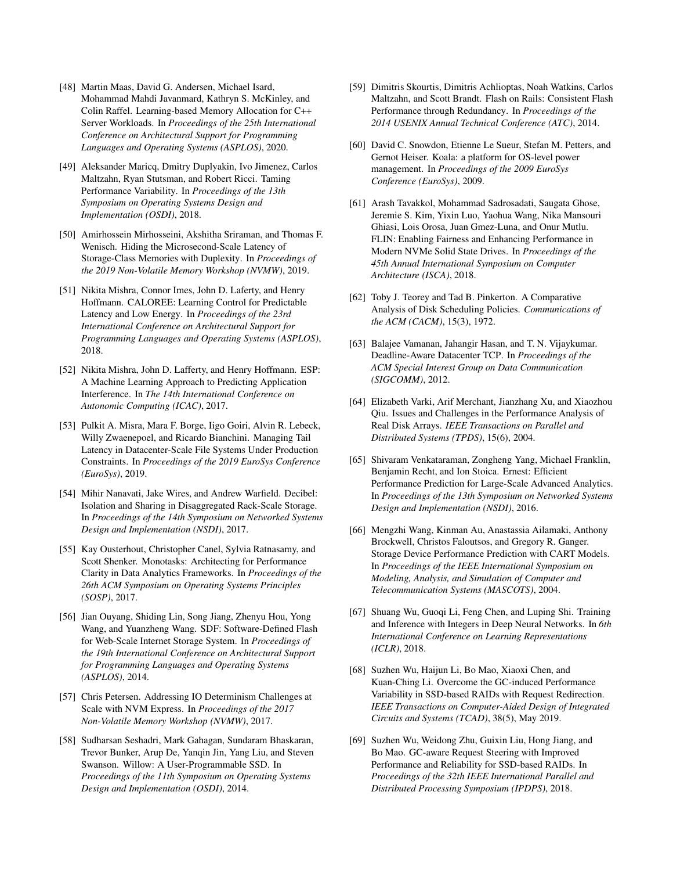- <span id="page-16-15"></span>[48] Martin Maas, David G. Andersen, Michael Isard, Mohammad Mahdi Javanmard, Kathryn S. McKinley, and Colin Raffel. Learning-based Memory Allocation for C++ Server Workloads. In *Proceedings of the 25th International Conference on Architectural Support for Programming Languages and Operating Systems (ASPLOS)*, 2020.
- <span id="page-16-3"></span>[49] Aleksander Maricq, Dmitry Duplyakin, Ivo Jimenez, Carlos Maltzahn, Ryan Stutsman, and Robert Ricci. Taming Performance Variability. In *Proceedings of the 13th Symposium on Operating Systems Design and Implementation (OSDI)*, 2018.
- <span id="page-16-5"></span>[50] Amirhossein Mirhosseini, Akshitha Sriraman, and Thomas F. Wenisch. Hiding the Microsecond-Scale Latency of Storage-Class Memories with Duplexity. In *Proceedings of the 2019 Non-Volatile Memory Workshop (NVMW)*, 2019.
- <span id="page-16-0"></span>[51] Nikita Mishra, Connor Imes, John D. Laferty, and Henry Hoffmann. CALOREE: Learning Control for Predictable Latency and Low Energy. In *Proceedings of the 23rd International Conference on Architectural Support for Programming Languages and Operating Systems (ASPLOS)*, 2018.
- <span id="page-16-16"></span>[52] Nikita Mishra, John D. Lafferty, and Henry Hoffmann. ESP: A Machine Learning Approach to Predicting Application Interference. In *The 14th International Conference on Autonomic Computing (ICAC)*, 2017.
- <span id="page-16-4"></span>[53] Pulkit A. Misra, Mara F. Borge, Iigo Goiri, Alvin R. Lebeck, Willy Zwaenepoel, and Ricardo Bianchini. Managing Tail Latency in Datacenter-Scale File Systems Under Production Constraints. In *Proceedings of the 2019 EuroSys Conference (EuroSys)*, 2019.
- <span id="page-16-10"></span>[54] Mihir Nanavati, Jake Wires, and Andrew Warfield. Decibel: Isolation and Sharing in Disaggregated Rack-Scale Storage. In *Proceedings of the 14th Symposium on Networked Systems Design and Implementation (NSDI)*, 2017.
- <span id="page-16-1"></span>[55] Kay Ousterhout, Christopher Canel, Sylvia Ratnasamy, and Scott Shenker. Monotasks: Architecting for Performance Clarity in Data Analytics Frameworks. In *Proceedings of the 26th ACM Symposium on Operating Systems Principles (SOSP)*, 2017.
- <span id="page-16-21"></span>[56] Jian Ouyang, Shiding Lin, Song Jiang, Zhenyu Hou, Yong Wang, and Yuanzheng Wang. SDF: Software-Defined Flash for Web-Scale Internet Storage System. In *Proceedings of the 19th International Conference on Architectural Support for Programming Languages and Operating Systems (ASPLOS)*, 2014.
- <span id="page-16-6"></span>[57] Chris Petersen. Addressing IO Determinism Challenges at Scale with NVM Express. In *Proceedings of the 2017 Non-Volatile Memory Workshop (NVMW)*, 2017.
- <span id="page-16-9"></span>[58] Sudharsan Seshadri, Mark Gahagan, Sundaram Bhaskaran, Trevor Bunker, Arup De, Yanqin Jin, Yang Liu, and Steven Swanson. Willow: A User-Programmable SSD. In *Proceedings of the 11th Symposium on Operating Systems Design and Implementation (OSDI)*, 2014.
- <span id="page-16-11"></span>[59] Dimitris Skourtis, Dimitris Achlioptas, Noah Watkins, Carlos Maltzahn, and Scott Brandt. Flash on Rails: Consistent Flash Performance through Redundancy. In *Proceedings of the 2014 USENIX Annual Technical Conference (ATC)*, 2014.
- <span id="page-16-17"></span>[60] David C. Snowdon, Etienne Le Sueur, Stefan M. Petters, and Gernot Heiser. Koala: a platform for OS-level power management. In *Proceedings of the 2009 EuroSys Conference (EuroSys)*, 2009.
- <span id="page-16-7"></span>[61] Arash Tavakkol, Mohammad Sadrosadati, Saugata Ghose, Jeremie S. Kim, Yixin Luo, Yaohua Wang, Nika Mansouri Ghiasi, Lois Orosa, Juan Gmez-Luna, and Onur Mutlu. FLIN: Enabling Fairness and Enhancing Performance in Modern NVMe Solid State Drives. In *Proceedings of the 45th Annual International Symposium on Computer Architecture (ISCA)*, 2018.
- <span id="page-16-13"></span>[62] Toby J. Teorey and Tad B. Pinkerton. A Comparative Analysis of Disk Scheduling Policies. *Communications of the ACM (CACM)*, 15(3), 1972.
- <span id="page-16-20"></span>[63] Balajee Vamanan, Jahangir Hasan, and T. N. Vijaykumar. Deadline-Aware Datacenter TCP. In *Proceedings of the ACM Special Interest Group on Data Communication (SIGCOMM)*, 2012.
- <span id="page-16-14"></span>[64] Elizabeth Varki, Arif Merchant, Jianzhang Xu, and Xiaozhou Qiu. Issues and Challenges in the Performance Analysis of Real Disk Arrays. *IEEE Transactions on Parallel and Distributed Systems (TPDS)*, 15(6), 2004.
- <span id="page-16-2"></span>[65] Shivaram Venkataraman, Zongheng Yang, Michael Franklin, Benjamin Recht, and Ion Stoica. Ernest: Efficient Performance Prediction for Large-Scale Advanced Analytics. In *Proceedings of the 13th Symposium on Networked Systems Design and Implementation (NSDI)*, 2016.
- <span id="page-16-19"></span>[66] Mengzhi Wang, Kinman Au, Anastassia Ailamaki, Anthony Brockwell, Christos Faloutsos, and Gregory R. Ganger. Storage Device Performance Prediction with CART Models. In *Proceedings of the IEEE International Symposium on Modeling, Analysis, and Simulation of Computer and Telecommunication Systems (MASCOTS)*, 2004.
- <span id="page-16-18"></span>[67] Shuang Wu, Guoqi Li, Feng Chen, and Luping Shi. Training and Inference with Integers in Deep Neural Networks. In *6th International Conference on Learning Representations (ICLR)*, 2018.
- <span id="page-16-8"></span>[68] Suzhen Wu, Haijun Li, Bo Mao, Xiaoxi Chen, and Kuan-Ching Li. Overcome the GC-induced Performance Variability in SSD-based RAIDs with Request Redirection. *IEEE Transactions on Computer-Aided Design of Integrated Circuits and Systems (TCAD)*, 38(5), May 2019.
- <span id="page-16-12"></span>[69] Suzhen Wu, Weidong Zhu, Guixin Liu, Hong Jiang, and Bo Mao. GC-aware Request Steering with Improved Performance and Reliability for SSD-based RAIDs. In *Proceedings of the 32th IEEE International Parallel and Distributed Processing Symposium (IPDPS)*, 2018.